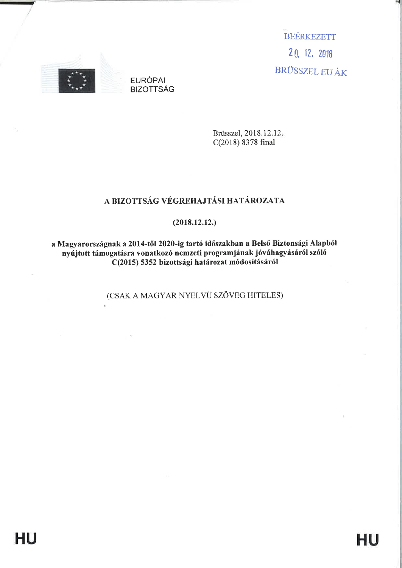BEÉRKEZETT 20, 12, 2018 **BRÜSSZEL EU ÁK** 



**EURÓPAI BIZOTTSÁG** 

> Brüsszel, 2018.12.12. C(2018) 8378 final

# A BIZOTTSÁG VÉGREHAJTÁSI HATÁROZATA

#### $(2018.12.12.)$

a Magyarországnak a 2014-től 2020-ig tartó időszakban a Belső Biztonsági Alapból nyújtott támogatásra vonatkozó nemzeti programjának jóváhagyásáról szóló C(2015) 5352 bizottsági határozat módosításáról

(CSAK A MAGYAR NYELVŰ SZÖVEG HITELES)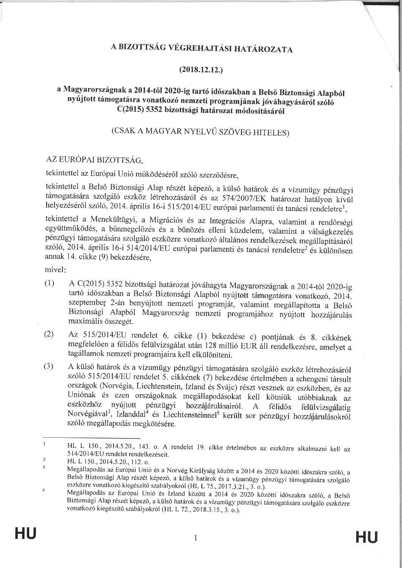# A BIZOTTSÁG VÉGREHAJTÁSI HATÁROZATA

### $(2018.12.12.)$

# a Magyarországnak a 2014-től 2020-ig tartó időszakban a Belső Biztonsági Alapból nyújtott támogatásra vonatkozó nemzeti programjának jóváhagyásáról szóló C(2015) 5352 bizottsági határozat módosításáról

# (CSAK A MAGYAR NYELVŰ SZÖVEG HITELES)

#### AZ EURÓPAI BIZOTTSÁG,

tekintettel az Európai Unió működéséről szóló szerződésre,

tekintettel a Belső Biztonsági Alap részét képező, a külső határok és a vízumügy pénzügyi támogatására szolgáló eszköz létrehozásáról és az 574/2007/EK határozat hatályon kívül helyezéséről szóló, 2014. április 16-i 515/2014/EU európai parlamenti és tanácsi rendeletre<sup>1</sup>,

tekintettel a Menekültügyi, a Migrációs és az Integrációs Alapra, valamint a rendőrségi együttműködés, a bűnmegelőzés és a bűnözés elleni küzdelem, valamint a válságkezelés pénzügyi támogatására szolgáló eszközre vonatkozó általános rendelkezések megállapításáról szóló, 2014. április 16-i 514/2014/EU európai parlamenti és tanácsi rendeletre<sup>2</sup> és különösen annak 14. cikke (9) bekezdésére,

mivel:

- A C(2015) 5352 bizottsági határozat jóváhagyta Magyarországnak a 2014-től 2020-ig  $(1)$ tartó időszakban a Belső Biztonsági Alapból nyújtott támogatásra vonatkozó, 2014. szeptember 2-án benyújtott nemzeti programját, valamint megállapította a Belső Biztonsági Alapból Magyarország nemzeti programjához nyújtott hozzájárulás maximális összegét.
- Az 515/2014/EU rendelet 6. cikke (1) bekezdése c) pontjának és 8. cikkének  $(2)$ megfelelően a félidős felülvizsgálat után 128 millió EUR áll rendelkezésre, amelyet a tagállamok nemzeti programjaira kell elkülöníteni.
- A külső határok és a vízumügy pénzügyi támogatására szolgáló eszköz létrehozásáról  $(3)$ szóló 515/2014/EU rendelet 5. cikkének (7) bekezdése értelmében a schengeni társult országok (Norvégia, Liechtenstein, Izland és Svájc) részt vesznek az eszközben, és az Uniónak és ezen országoknak megállapodásokat kell kötniük utóbbiaknak az eszközhöz nyújtott pénzügyi hozzájárulásairól. A félidős felülvizsgálatig Norvégiával<sup>3</sup>, Izlanddal<sup>4</sup> és Liechtensteinnel<sup>5</sup> került sor pénzügyi hozzájárulásokról szóló megállapodás megkötésére.

Œ. HL L 150., 2014.5.20., 143. o. A rendelet 19. cikke értelmében az eszközre alkalmazni kell az 514/2014/EU rendelet rendelkezéseit.  $\overline{2}$ 

HL L 150., 2014.5.20., 112. o.

Megállapodás az Európai Unió és a Norvég Királyság között a 2014 és 2020 közötti időszakra szóló, a  $\overline{\mathbf{3}}$ Belső Biztonsági Alap részét képező, a külső határok és a vízumügy pénzügyi támogatására szolgáló eszközre vonatkozó kiegészítő szabályokról (HL L 75., 2017.3.21., 3. o.).  $\overline{4}$ 

Megállapodás az Európai Unió és Izland között a 2014 és 2020 közötti időszakra szóló, a Belső Biztonsági Alap részét képező, a külső határok és a vízumügy pénzügyi támogatására szolgáló eszközre vonatkozó kiegészítő szabályokról (HL L 72., 2018.3.15., 3. o.).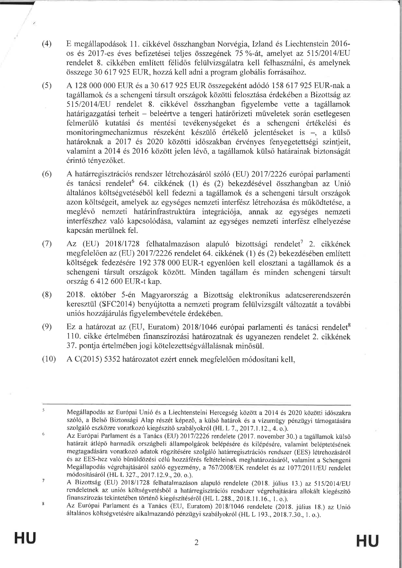- $(4)$ E megállapodások 11. cikkével összhangban Norvégia, Izland és Liechtenstein 2016os és 2017-es éves befizetései teljes összegének 75 %-át, amelyet az 515/2014/EU rendelet 8. cikkében említett félidős felülvizsgálatra kell felhasználni, és amelynek összege 30 617 925 EUR, hozzá kell adni a program globális forrásaihoz.
- $(5)$ A 128 000 000 EUR és a 30 617 925 EUR összegeként adódó 158 617 925 EUR-nak a tagállamok és a schengeni társult országok közötti felosztása érdekében a Bizottság az 515/2014/EU rendelet 8. cikkével összhangban figyelembe vette a tagállamok határigazgatási terheit – beleértve a tengeri határőrizeti műveletek során esetlegesen felmerülő kutatási és mentési tevékenységeket és a schengeni értékelési és monitoringmechanizmus részeként készülő értékelő jelentéseket is -, a külső határoknak a 2017 és 2020 közötti időszakban érvényes fenyegetettségi szintjeit, valamint a 2014 és 2016 között jelen lévő, a tagállamok külső határainak biztonságát érintő tényezőket.
- A határregisztrációs rendszer létrehozásáról szóló (EU) 2017/2226 európai parlamenti  $(6)$ és tanácsi rendelet<sup>6</sup> 64. cikkének (1) és (2) bekezdésével összhangban az Unió általános költségvetéséből kell fedezni a tagállamok és a schengeni társult országok azon költségeit, amelyek az egységes nemzeti interfész létrehozása és működtetése, a meglévő nemzeti határinfrastruktúra integrációja, annak az egységes nemzeti interfészhez való kapcsolódása, valamint az egységes nemzeti interfész elhelyezése kapcsán merülnek fel.
- $(7)$ Az (EU) 2018/1728 felhatalmazáson alapuló bizottsági rendelet<sup>7</sup> 2. cikkének megfelelően az (EU) 2017/2226 rendelet 64. cikkének (1) és (2) bekezdésében említett költségek fedezésére 192 378 000 EUR-t egyenlően kell elosztani a tagállamok és a schengeni társult országok között. Minden tagállam és minden schengeni társult ország 6 412 600 EUR-t kap.
- $(8)$ 2018. október 5-én Magyarország a Bizottság elektronikus adatcsererendszerén keresztül (SFC2014) benyújtotta a nemzeti program felülvizsgált változatát a további uniós hozzájárulás figyelembevétele érdekében.
- $(9)$ Ez a határozat az (EU, Euratom) 2018/1046 európai parlamenti és tanácsi rendelet<sup>8</sup> 110. cikke értelmében finanszírozási határozatnak és ugyanezen rendelet 2. cikkének 37. pontja értelmében jogi kötelezettségvállalásnak minősül.
- A C(2015) 5352 határozatot ezért ennek megfelelően módosítani kell,  $(10)$

 $\overline{5}$ Megállapodás az Európai Unió és a Liechtensteini Hercegség között a 2014 és 2020 közötti időszakra szóló, a Belső Biztonsági Alap részét képező, a külső határok és a vízumügy pénzügyi támogatására szolgáló eszközre vonatkozó kiegészítő szabályokról (HL L 7., 2017.1.12., 4. o.).

<sup>6</sup> Az Európai Parlament és a Tanács (EU) 2017/2226 rendelete (2017. november 30.) a tagállamok külső határait átlépő harmadik országbeli állampolgárok belépésére és kilépésére, valamint beléptetésének megtagadására vonatkozó adatok rögzítésére szolgáló határregisztrációs rendszer (EES) létrehozásáról és az EES-hez való bűnüldözési célú hozzáférés feltételeinek meghatározásáról, valamint a Schengeni Megállapodás végrehajtásáról szóló egyezmény, a 767/2008/EK rendelet és az 1077/2011/EU rendelet módosításáról (HL L 327., 2017.12.9., 20. o.).

 $\overline{7}$ A Bizottság (EU) 2018/1728 felhatalmazáson alapuló rendelete (2018. július 13.) az 515/2014/EU rendeletnek az uniós költségvetésből a határregisztrációs rendszer végrehajtására allokált kiegészítő finanszírozás tekintetében történő kiegészítéséről (HL L 288., 2018.11.16., 1. o.).

Az Európai Parlament és a Tanács (EU, Euratom) 2018/1046 rendelete (2018. július 18.) az Unió általános költségvetésére alkalmazandó pénzügyi szabályokról (HL L 193., 2018.7.30., 1. o.).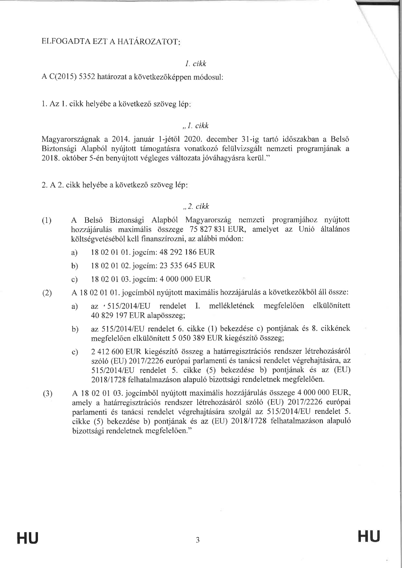# ELFOGADTA EZT A HATÁROZATOT:

#### $1$  cikk

A C(2015) 5352 határozat a következőképpen módosul:

1. Az 1. cikk helyébe a következő szöveg lép:

#### $.1. cikk$

Magyarországnak a 2014. január 1-jétől 2020. december 31-ig tartó időszakban a Belső Biztonsági Alapból nyújtott támogatásra vonatkozó felülvizsgált nemzeti programjának a 2018. október 5-én benyújtott végleges változata jóváhagyásra kerül."

2. A 2. cikk helyébe a következő szöveg lép:

#### $\ldots$  2. cikk

- A Belső Biztonsági Alapból Magyarország nemzeti programjához nyújtott  $(1)$ hozzájárulás maximális összege 75 827 831 EUR, amelyet az Unió általános költségvetéséből kell finanszírozni, az alábbi módon:
	- 18 02 01 01. jogcím: 48 292 186 EUR a)
	- 18 02 01 02. jogcím: 23 535 645 EUR  $b)$
	- 18 02 01 03. jogcím: 4 000 000 EUR  $c)$
- A 18 02 01 01. jogcímből nyújtott maximális hozzájárulás a következőkből áll össze:  $(2)$ 
	- az · 515/2014/EU rendelet I. mellékletének megfelelően elkülönített a) 40 829 197 EUR alapösszeg;
	- az 515/2014/EU rendelet 6. cikke (1) bekezdése c) pontjának és 8. cikkének  $\mathbf{b}$ megfelelően elkülönített 5 050 389 EUR kiegészítő összeg;
	- 2 412 600 EUR kiegészítő összeg a határregisztrációs rendszer létrehozásáról  $\mathbf{c})$ szóló (EU) 2017/2226 európai parlamenti és tanácsi rendelet végrehajtására, az 515/2014/EU rendelet 5. cikke (5) bekezdése b) pontjának és az (EU) 2018/1728 felhatalmazáson alapuló bizottsági rendeletnek megfelelően.
- A 18 02 01 03. jogcímből nyújtott maximális hozzájárulás összege 4 000 000 EUR,  $(3)$ amely a határregisztrációs rendszer létrehozásáról szóló (EU) 2017/2226 európai parlamenti és tanácsi rendelet végrehajtására szolgál az 515/2014/EU rendelet 5. cikke (5) bekezdése b) pontjának és az (EU) 2018/1728 felhatalmazáson alapuló bizottsági rendeletnek megfelelően."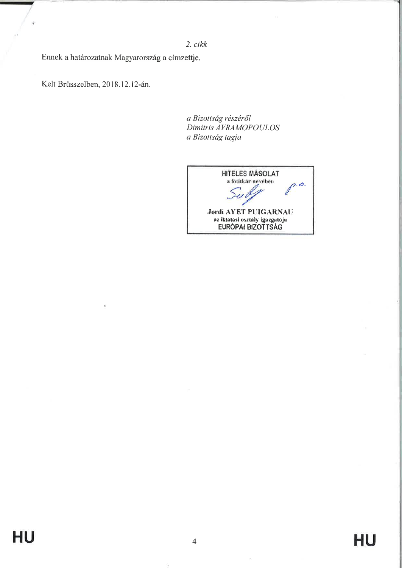$2. cikk$ 

Ennek a határozatnak Magyarország a címzettje.

Kelt Brüsszelben, 2018.12.12-án.

a Bizottság részéről Dimitris AVRAMOPOULOS a Bizottság tagja

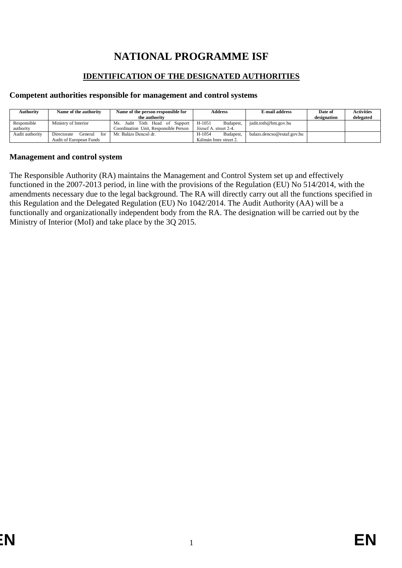# **NATIONAL PROGRAMME ISF**

# **IDENTIFICATION OF THE DESIGNATED AUTHORITIES**

#### <span id="page-5-0"></span>**Competent authorities responsible for management and control systems**

| <b>Authority</b> | Name of the authority          | Name of the person responsible for    | <b>Address</b>        | E-mail address             | Date of     | <b>Activities</b> |
|------------------|--------------------------------|---------------------------------------|-----------------------|----------------------------|-------------|-------------------|
|                  |                                | the authority                         |                       |                            | designation | delegated         |
| Responsible      | Ministry of Interior           | Judit Tóth Head of Support<br>Ms.     | H-1051<br>Budapest.   | judit.toth@bm.gov.hu       |             |                   |
| authority        |                                | Coordination Unit, Responsible Person | József A. street 2-4. |                            |             |                   |
| Audit authority  | Directorate<br>General<br>for  | Mr. Balázs Dencső dr.                 | H-1054<br>Budapest,   | balazs.dencso@eutaf.gov.hu |             |                   |
|                  | <b>Audit of European Funds</b> |                                       | Kálmán Imre street 2. |                            |             |                   |

#### <span id="page-5-1"></span>**Management and control system**

The Responsible Authority (RA) maintains the Management and Control System set up and effectively functioned in the 2007-2013 period, in line with the provisions of the Regulation (EU) No 514/2014, with the amendments necessary due to the legal background. The RA will directly carry out all the functions specified in this Regulation and the Delegated Regulation (EU) No 1042/2014. The Audit Authority (AA) will be a functionally and organizationally independent body from the RA. The designation will be carried out by the Ministry of Interior (MoI) and take place by the 3Q 2015.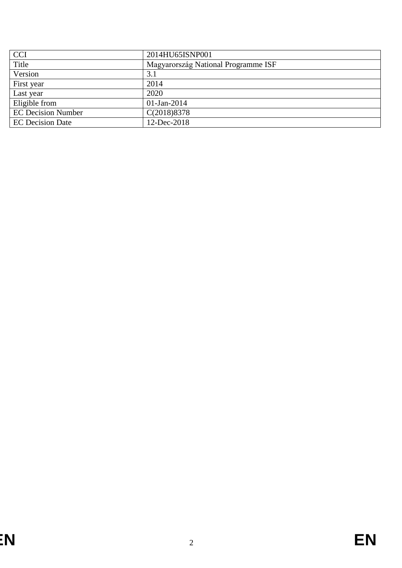| <b>CCI</b>                | 2014HU65ISNP001                     |
|---------------------------|-------------------------------------|
| Title                     | Magyarország National Programme ISF |
| Version                   | 3.1                                 |
| First year                | 2014                                |
| Last year                 | 2020                                |
| Eligible from             | 01-Jan-2014                         |
| <b>EC Decision Number</b> | C(2018)8378                         |
| <b>EC</b> Decision Date   | 12-Dec-2018                         |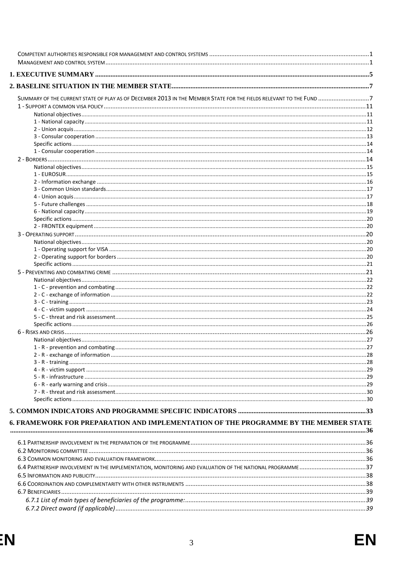| 6. FRAMEWORK FOR PREPARATION AND IMPLEMENTATION OF THE PROGRAMME BY THE MEMBER STATE |  |
|--------------------------------------------------------------------------------------|--|
|                                                                                      |  |
|                                                                                      |  |
|                                                                                      |  |
|                                                                                      |  |
|                                                                                      |  |
|                                                                                      |  |
|                                                                                      |  |
|                                                                                      |  |
|                                                                                      |  |
|                                                                                      |  |
|                                                                                      |  |
|                                                                                      |  |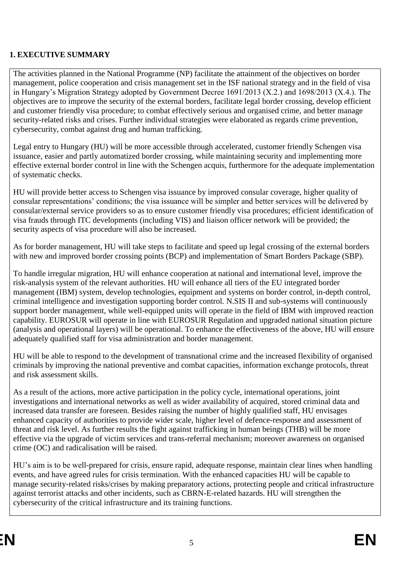# <span id="page-9-0"></span>**1. EXECUTIVE SUMMARY**

The activities planned in the National Programme (NP) facilitate the attainment of the objectives on border management, police cooperation and crisis management set in the ISF national strategy and in the field of visa in Hungary's Migration Strategy adopted by Government Decree 1691/2013 (X.2.) and 1698/2013 (X.4.). The objectives are to improve the security of the external borders, facilitate legal border crossing, develop efficient and customer friendly visa procedure; to combat effectively serious and organised crime, and better manage security-related risks and crises. Further individual strategies were elaborated as regards crime prevention, cybersecurity, combat against drug and human trafficking.

Legal entry to Hungary (HU) will be more accessible through accelerated, customer friendly Schengen visa issuance, easier and partly automatized border crossing, while maintaining security and implementing more effective external border control in line with the Schengen acquis, furthermore for the adequate implementation of systematic checks.

HU will provide better access to Schengen visa issuance by improved consular coverage, higher quality of consular representations' conditions; the visa issuance will be simpler and better services will be delivered by consular/external service providers so as to ensure customer friendly visa procedures; efficient identification of visa frauds through ITC developments (including VIS) and liaison officer network will be provided; the security aspects of visa procedure will also be increased.

As for border management, HU will take steps to facilitate and speed up legal crossing of the external borders with new and improved border crossing points (BCP) and implementation of Smart Borders Package (SBP).

To handle irregular migration, HU will enhance cooperation at national and international level, improve the risk-analysis system of the relevant authorities. HU will enhance all tiers of the EU integrated border management (IBM) system, develop technologies, equipment and systems on border control, in-depth control, criminal intelligence and investigation supporting border control. N.SIS II and sub-systems will continuously support border management, while well-equipped units will operate in the field of IBM with improved reaction capability. EUROSUR will operate in line with EUROSUR Regulation and upgraded national situation picture (analysis and operational layers) will be operational. To enhance the effectiveness of the above, HU will ensure adequately qualified staff for visa administration and border management.

HU will be able to respond to the development of transnational crime and the increased flexibility of organised criminals by improving the national preventive and combat capacities, information exchange protocols, threat and risk assessment skills.

As a result of the actions, more active participation in the policy cycle, international operations, joint investigations and international networks as well as wider availability of acquired, stored criminal data and increased data transfer are foreseen. Besides raising the number of highly qualified staff, HU envisages enhanced capacity of authorities to provide wider scale, higher level of defence-response and assessment of threat and risk level. As further results the fight against trafficking in human beings (THB) will be more effective via the upgrade of victim services and trans-referral mechanism; moreover awareness on organised crime (OC) and radicalisation will be raised.

HU's aim is to be well-prepared for crisis, ensure rapid, adequate response, maintain clear lines when handling events, and have agreed rules for crisis termination. With the enhanced capacities HU will be capable to manage security-related risks/crises by making preparatory actions, protecting people and critical infrastructure against terrorist attacks and other incidents, such as CBRN-E-related hazards. HU will strengthen the cybersecurity of the critical infrastructure and its training functions.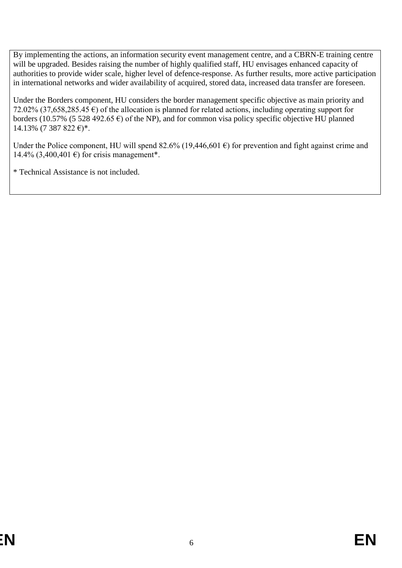By implementing the actions, an information security event management centre, and a CBRN-E training centre will be upgraded. Besides raising the number of highly qualified staff, HU envisages enhanced capacity of authorities to provide wider scale, higher level of defence-response. As further results, more active participation in international networks and wider availability of acquired, stored data, increased data transfer are foreseen.

Under the Borders component, HU considers the border management specific objective as main priority and 72.02% (37,658,285.45  $\epsilon$ ) of the allocation is planned for related actions, including operating support for borders (10.57% (5 528 492.65  $\epsilon$ ) of the NP), and for common visa policy specific objective HU planned 14.13% (7 387 822  $\epsilon$ )\*.

Under the Police component, HU will spend 82.6% (19,446,601  $\epsilon$ ) for prevention and fight against crime and 14.4% (3,400,401 €) for crisis management\*.

\* Technical Assistance is not included.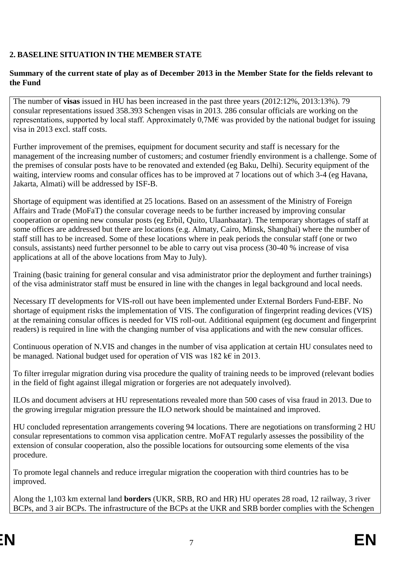# <span id="page-11-0"></span>**2. BASELINE SITUATION IN THE MEMBER STATE**

# <span id="page-11-1"></span>**Summary of the current state of play as of December 2013 in the Member State for the fields relevant to the Fund**

The number of **visas** issued in HU has been increased in the past three years (2012:12%, 2013:13%). 79 consular representations issued 358.393 Schengen visas in 2013. 286 consular officials are working on the representations, supported by local staff. Approximately 0,7M€ was provided by the national budget for issuing visa in 2013 excl. staff costs.

Further improvement of the premises, equipment for document security and staff is necessary for the management of the increasing number of customers; and costumer friendly environment is a challenge. Some of the premises of consular posts have to be renovated and extended (eg Baku, Delhi). Security equipment of the waiting, interview rooms and consular offices has to be improved at 7 locations out of which 3-4 (eg Havana, Jakarta, Almati) will be addressed by ISF-B.

Shortage of equipment was identified at 25 locations. Based on an assessment of the Ministry of Foreign Affairs and Trade (MoFaT) the consular coverage needs to be further increased by improving consular cooperation or opening new consular posts (eg Erbil, Quito, Ulaanbaatar). The temporary shortages of staff at some offices are addressed but there are locations (e.g. Almaty, Cairo, Minsk, Shanghai) where the number of staff still has to be increased. Some of these locations where in peak periods the consular staff (one or two consuls, assistants) need further personnel to be able to carry out visa process (30-40 % increase of visa applications at all of the above locations from May to July).

Training (basic training for general consular and visa administrator prior the deployment and further trainings) of the visa administrator staff must be ensured in line with the changes in legal background and local needs.

Necessary IT developments for VIS-roll out have been implemented under External Borders Fund-EBF. No shortage of equipment risks the implementation of VIS. The configuration of fingerprint reading devices (VIS) at the remaining consular offices is needed for VIS roll-out. Additional equipment (eg document and fingerprint readers) is required in line with the changing number of visa applications and with the new consular offices.

Continuous operation of N.VIS and changes in the number of visa application at certain HU consulates need to be managed. National budget used for operation of VIS was 182 k $\epsilon$  in 2013.

To filter irregular migration during visa procedure the quality of training needs to be improved (relevant bodies in the field of fight against illegal migration or forgeries are not adequately involved).

ILOs and document advisers at HU representations revealed more than 500 cases of visa fraud in 2013. Due to the growing irregular migration pressure the ILO network should be maintained and improved.

HU concluded representation arrangements covering 94 locations. There are negotiations on transforming 2 HU consular representations to common visa application centre. MoFAT regularly assesses the possibility of the extension of consular cooperation, also the possible locations for outsourcing some elements of the visa procedure.

To promote legal channels and reduce irregular migration the cooperation with third countries has to be improved.

Along the 1,103 km external land **borders** (UKR, SRB, RO and HR) HU operates 28 road, 12 railway, 3 river BCPs, and 3 air BCPs. The infrastructure of the BCPs at the UKR and SRB border complies with the Schengen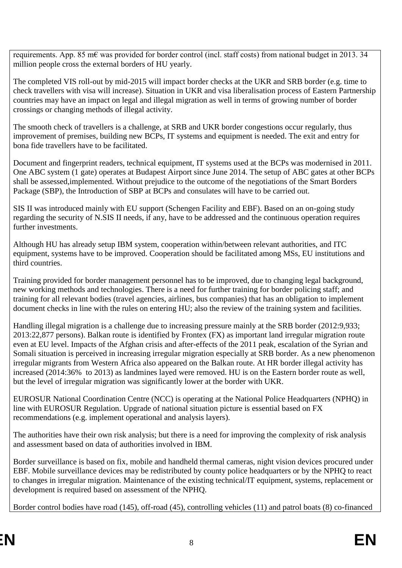requirements. App. 85 m€ was provided for border control (incl. staff costs) from national budget in 2013. 34 million people cross the external borders of HU yearly.

The completed VIS roll-out by mid-2015 will impact border checks at the UKR and SRB border (e.g. time to check travellers with visa will increase). Situation in UKR and visa liberalisation process of Eastern Partnership countries may have an impact on legal and illegal migration as well in terms of growing number of border crossings or changing methods of illegal activity.

The smooth check of travellers is a challenge, at SRB and UKR border congestions occur regularly, thus improvement of premises, building new BCPs, IT systems and equipment is needed. The exit and entry for bona fide travellers have to be facilitated.

Document and fingerprint readers, technical equipment, IT systems used at the BCPs was modernised in 2011. One ABC system (1 gate) operates at Budapest Airport since June 2014. The setup of ABC gates at other BCPs shall be assessed,implemented. Without prejudice to the outcome of the negotiations of the Smart Borders Package (SBP), the Introduction of SBP at BCPs and consulates will have to be carried out.

SIS II was introduced mainly with EU support (Schengen Facility and EBF). Based on an on-going study regarding the security of N.SIS II needs, if any, have to be addressed and the continuous operation requires further investments.

Although HU has already setup IBM system, cooperation within/between relevant authorities, and ITC equipment, systems have to be improved. Cooperation should be facilitated among MSs, EU institutions and third countries.

Training provided for border management personnel has to be improved, due to changing legal background, new working methods and technologies. There is a need for further training for border policing staff; and training for all relevant bodies (travel agencies, airlines, bus companies) that has an obligation to implement document checks in line with the rules on entering HU; also the review of the training system and facilities.

Handling illegal migration is a challenge due to increasing pressure mainly at the SRB border (2012:9,933; 2013:22,877 persons). Balkan route is identified by Frontex (FX) as important land irregular migration route even at EU level. Impacts of the Afghan crisis and after-effects of the 2011 peak, escalation of the Syrian and Somali situation is perceived in increasing irregular migration especially at SRB border. As a new phenomenon irregular migrants from Western Africa also appeared on the Balkan route. At HR border illegal activity has increased (2014:36% to 2013) as landmines layed were removed. HU is on the Eastern border route as well, but the level of irregular migration was significantly lower at the border with UKR.

EUROSUR National Coordination Centre (NCC) is operating at the National Police Headquarters (NPHQ) in line with EUROSUR Regulation. Upgrade of national situation picture is essential based on FX recommendations (e.g. implement operational and analysis layers).

The authorities have their own risk analysis; but there is a need for improving the complexity of risk analysis and assessment based on data of authorities involved in IBM.

Border surveillance is based on fix, mobile and handheld thermal cameras, night vision devices procured under EBF. Mobile surveillance devices may be redistributed by county police headquarters or by the NPHQ to react to changes in irregular migration. Maintenance of the existing technical/IT equipment, systems, replacement or development is required based on assessment of the NPHQ.

Border control bodies have road (145), off-road (45), controlling vehicles (11) and patrol boats (8) co-financed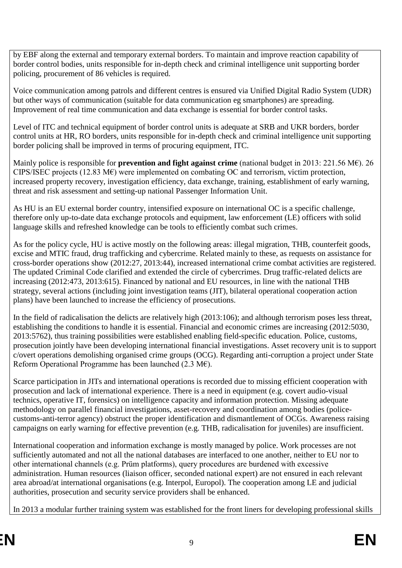by EBF along the external and temporary external borders. To maintain and improve reaction capability of border control bodies, units responsible for in-depth check and criminal intelligence unit supporting border policing, procurement of 86 vehicles is required.

Voice communication among patrols and different centres is ensured via Unified Digital Radio System (UDR) but other ways of communication (suitable for data communication eg smartphones) are spreading. Improvement of real time communication and data exchange is essential for border control tasks.

Level of ITC and technical equipment of border control units is adequate at SRB and UKR borders, border control units at HR, RO borders, units responsible for in-depth check and criminal intelligence unit supporting border policing shall be improved in terms of procuring equipment, ITC.

Mainly police is responsible for **prevention and fight against crime** (national budget in 2013: 221.56 M€). 26 CIPS/ISEC projects (12.83 M€) were implemented on combating OC and terrorism, victim protection, increased property recovery, investigation efficiency, data exchange, training, establishment of early warning, threat and risk assessment and setting-up national Passenger Information Unit.

As HU is an EU external border country, intensified exposure on international OC is a specific challenge, therefore only up-to-date data exchange protocols and equipment, law enforcement (LE) officers with solid language skills and refreshed knowledge can be tools to efficiently combat such crimes.

As for the policy cycle, HU is active mostly on the following areas: illegal migration, THB, counterfeit goods, excise and MTIC fraud, drug trafficking and cybercrime. Related mainly to these, as requests on assistance for cross-border operations show (2012:27, 2013:44), increased international crime combat activities are registered. The updated Criminal Code clarified and extended the circle of cybercrimes. Drug traffic-related delicts are increasing (2012:473, 2013:615). Financed by national and EU resources, in line with the national THB strategy, several actions (including joint investigation teams (JIT), bilateral operational cooperation action plans) have been launched to increase the efficiency of prosecutions.

In the field of radicalisation the delicts are relatively high (2013:106); and although terrorism poses less threat, establishing the conditions to handle it is essential. Financial and economic crimes are increasing (2012:5030, 2013:5762), thus training possibilities were established enabling field-specific education. Police, customs, prosecution jointly have been developing international financial investigations. Asset recovery unit is to support c/overt operations demolishing organised crime groups (OCG). Regarding anti-corruption a project under State Reform Operational Programme has been launched (2.3 M€).

Scarce participation in JITs and international operations is recorded due to missing efficient cooperation with prosecution and lack of international experience. There is a need in equipment (e.g. covert audio-visual technics, operative IT, forensics) on intelligence capacity and information protection. Missing adequate methodology on parallel financial investigations, asset-recovery and coordination among bodies (policecustoms-anti-terror agency) obstruct the proper identification and dismantlement of OCGs. Awareness raising campaigns on early warning for effective prevention (e.g. THB, radicalisation for juveniles) are insufficient.

International cooperation and information exchange is mostly managed by police. Work processes are not sufficiently automated and not all the national databases are interfaced to one another, neither to EU nor to other international channels (e.g. Prüm platforms), query procedures are burdened with excessive administration. Human resources (liaison officer, seconded national expert) are not ensured in each relevant area abroad/at international organisations (e.g. Interpol, Europol). The cooperation among LE and judicial authorities, prosecution and security service providers shall be enhanced.

In 2013 a modular further training system was established for the front liners for developing professional skills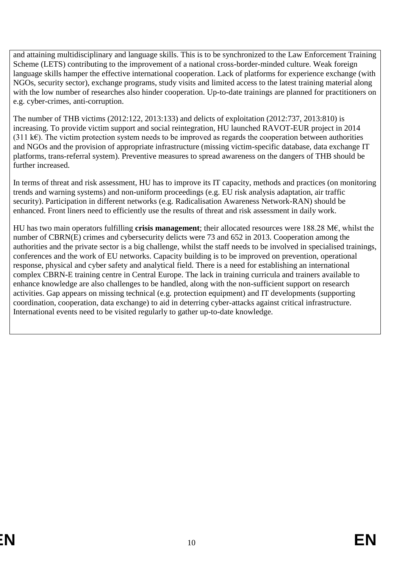and attaining multidisciplinary and language skills. This is to be synchronized to the Law Enforcement Training Scheme (LETS) contributing to the improvement of a national cross-border-minded culture. Weak foreign language skills hamper the effective international cooperation. Lack of platforms for experience exchange (with NGOs, security sector), exchange programs, study visits and limited access to the latest training material along with the low number of researches also hinder cooperation. Up-to-date trainings are planned for practitioners on e.g. cyber-crimes, anti-corruption.

The number of THB victims (2012:122, 2013:133) and delicts of exploitation (2012:737, 2013:810) is increasing. To provide victim support and social reintegration, HU launched RAVOT-EUR project in 2014  $(311 \text{ kg})$ . The victim protection system needs to be improved as regards the cooperation between authorities and NGOs and the provision of appropriate infrastructure (missing victim-specific database, data exchange IT platforms, trans-referral system). Preventive measures to spread awareness on the dangers of THB should be further increased.

In terms of threat and risk assessment, HU has to improve its IT capacity, methods and practices (on monitoring trends and warning systems) and non-uniform proceedings (e.g. EU risk analysis adaptation, air traffic security). Participation in different networks (e.g. Radicalisation Awareness Network-RAN) should be enhanced. Front liners need to efficiently use the results of threat and risk assessment in daily work.

HU has two main operators fulfilling **crisis management**; their allocated resources were 188.28 M€, whilst the number of CBRN(E) crimes and cybersecurity delicts were 73 and 652 in 2013. Cooperation among the authorities and the private sector is a big challenge, whilst the staff needs to be involved in specialised trainings, conferences and the work of EU networks. Capacity building is to be improved on prevention, operational response, physical and cyber safety and analytical field. There is a need for establishing an international complex CBRN-E training centre in Central Europe. The lack in training curricula and trainers available to enhance knowledge are also challenges to be handled, along with the non-sufficient support on research activities. Gap appears on missing technical (e.g. protection equipment) and IT developments (supporting coordination, cooperation, data exchange) to aid in deterring cyber-attacks against critical infrastructure. International events need to be visited regularly to gather up-to-date knowledge.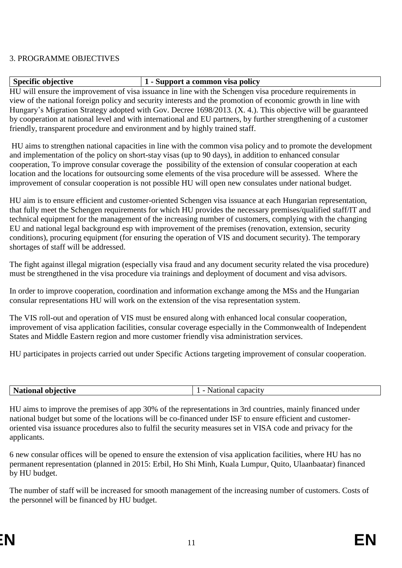# 3. PROGRAMME OBJECTIVES

<span id="page-15-0"></span>**Specific objective 1 - Support a common visa policy** HU will ensure the improvement of visa issuance in line with the Schengen visa procedure requirements in view of the national foreign policy and security interests and the promotion of economic growth in line with Hungary's Migration Strategy adopted with Gov. Decree 1698/2013. (X. 4.). This objective will be guaranteed by cooperation at national level and with international and EU partners, by further strengthening of a customer friendly, transparent procedure and environment and by highly trained staff.

HU aims to strengthen national capacities in line with the common visa policy and to promote the development and implementation of the policy on short-stay visas (up to 90 days), in addition to enhanced consular cooperation, To improve consular coverage the possibility of the extension of consular cooperation at each location and the locations for outsourcing some elements of the visa procedure will be assessed. Where the improvement of consular cooperation is not possible HU will open new consulates under national budget.

HU aim is to ensure efficient and customer-oriented Schengen visa issuance at each Hungarian representation, that fully meet the Schengen requirements for which HU provides the necessary premises/qualified staff/IT and technical equipment for the management of the increasing number of customers, complying with the changing EU and national legal background esp with improvement of the premises (renovation, extension, security conditions), procuring equipment (for ensuring the operation of VIS and document security). The temporary shortages of staff will be addressed.

The fight against illegal migration (especially visa fraud and any document security related the visa procedure) must be strengthened in the visa procedure via trainings and deployment of document and visa advisors.

In order to improve cooperation, coordination and information exchange among the MSs and the Hungarian consular representations HU will work on the extension of the visa representation system.

The VIS roll-out and operation of VIS must be ensured along with enhanced local consular cooperation, improvement of visa application facilities, consular coverage especially in the Commonwealth of Independent States and Middle Eastern region and more customer friendly visa administration services.

HU participates in projects carried out under Specific Actions targeting improvement of consular cooperation.

<span id="page-15-1"></span>

| .I V (<br>. .<br><br> | явясн у |
|-----------------------|---------|
|                       |         |

<span id="page-15-2"></span>HU aims to improve the premises of app 30% of the representations in 3rd countries, mainly financed under national budget but some of the locations will be co-financed under ISF to ensure efficient and customeroriented visa issuance procedures also to fulfil the security measures set in VISA code and privacy for the applicants.

6 new consular offices will be opened to ensure the extension of visa application facilities, where HU has no permanent representation (planned in 2015: Erbil, Ho Shi Minh, Kuala Lumpur, Quito, Ulaanbaatar) financed by HU budget.

The number of staff will be increased for smooth management of the increasing number of customers. Costs of the personnel will be financed by HU budget.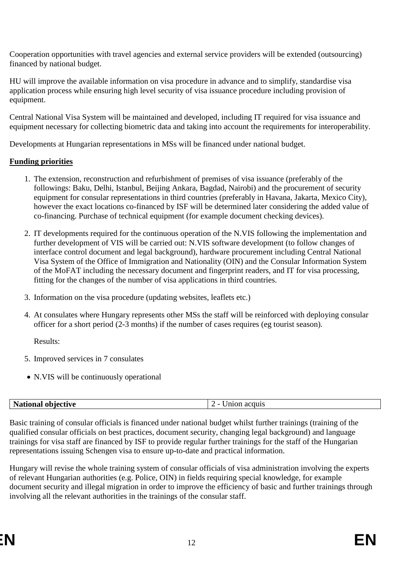Cooperation opportunities with travel agencies and external service providers will be extended (outsourcing) financed by national budget.

HU will improve the available information on visa procedure in advance and to simplify, standardise visa application process while ensuring high level security of visa issuance procedure including provision of equipment.

Central National Visa System will be maintained and developed, including IT required for visa issuance and equipment necessary for collecting biometric data and taking into account the requirements for interoperability.

Developments at Hungarian representations in MSs will be financed under national budget.

#### **Funding priorities**

- 1. The extension, reconstruction and refurbishment of premises of visa issuance (preferably of the followings: Baku, Delhi, Istanbul, Beijing Ankara, Bagdad, Nairobi) and the procurement of security equipment for consular representations in third countries (preferably in Havana, Jakarta, Mexico City), however the exact locations co-financed by ISF will be determined later considering the added value of co-financing. Purchase of technical equipment (for example document checking devices).
- 2. IT developments required for the continuous operation of the N.VIS following the implementation and further development of VIS will be carried out: N.VIS software development (to follow changes of interface control document and legal background), hardware procurement including Central National Visa System of the Office of Immigration and Nationality (OIN) and the Consular Information System of the MoFAT including the necessary document and fingerprint readers, and IT for visa processing, fitting for the changes of the number of visa applications in third countries.
- 3. Information on the visa procedure (updating websites, leaflets etc.)
- 4. At consulates where Hungary represents other MSs the staff will be reinforced with deploying consular officer for a short period (2-3 months) if the number of cases requires (eg tourist season).

Results:

- 5. Improved services in 7 consulates
- <span id="page-16-0"></span>• N.VIS will be continuously operational

| N<br>ective<br>чин<br>. .<br>- |
|--------------------------------|
|--------------------------------|

Basic training of consular officials is financed under national budget whilst further trainings (training of the qualified consular officials on best practices, document security, changing legal background) and language trainings for visa staff are financed by ISF to provide regular further trainings for the staff of the Hungarian representations issuing Schengen visa to ensure up-to-date and practical information.

Hungary will revise the whole training system of consular officials of visa administration involving the experts of relevant Hungarian authorities (e.g. Police, OIN) in fields requiring special knowledge, for example document security and illegal migration in order to improve the efficiency of basic and further trainings through involving all the relevant authorities in the trainings of the consular staff.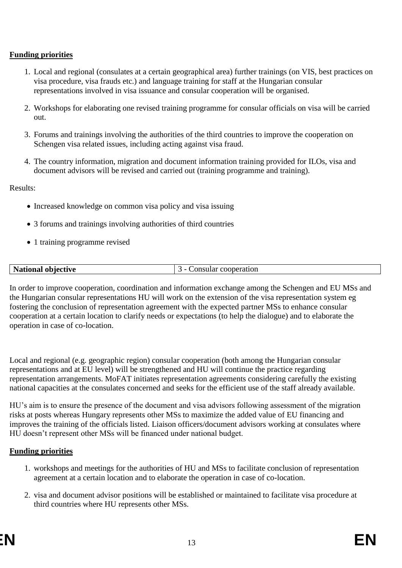# **Funding priorities**

- 1. Local and regional (consulates at a certain geographical area) further trainings (on VIS, best practices on visa procedure, visa frauds etc.) and language training for staff at the Hungarian consular representations involved in visa issuance and consular cooperation will be organised.
- 2. Workshops for elaborating one revised training programme for consular officials on visa will be carried out.
- 3. Forums and trainings involving the authorities of the third countries to improve the cooperation on Schengen visa related issues, including acting against visa fraud.
- 4. The country information, migration and document information training provided for ILOs, visa and document advisors will be revised and carried out (training programme and training).

#### Results:

- Increased knowledge on common visa policy and visa issuing
- 3 forums and trainings involving authorities of third countries
- <span id="page-17-0"></span>• 1 training programme revised

| National objective | cooperation<br>onsular<br>$\overline{\phantom{a}}$ |
|--------------------|----------------------------------------------------|
|                    |                                                    |

In order to improve cooperation, coordination and information exchange among the Schengen and EU MSs and the Hungarian consular representations HU will work on the extension of the visa representation system eg fostering the conclusion of representation agreement with the expected partner MSs to enhance consular cooperation at a certain location to clarify needs or expectations (to help the dialogue) and to elaborate the operation in case of co-location.

Local and regional (e.g. geographic region) consular cooperation (both among the Hungarian consular representations and at EU level) will be strengthened and HU will continue the practice regarding representation arrangements. MoFAT initiates representation agreements considering carefully the existing national capacities at the consulates concerned and seeks for the efficient use of the staff already available.

HU's aim is to ensure the presence of the document and visa advisors following assessment of the migration risks at posts whereas Hungary represents other MSs to maximize the added value of EU financing and improves the training of the officials listed. Liaison officers/document advisors working at consulates where HU doesn't represent other MSs will be financed under national budget.

#### **Funding priorities**

- 1. workshops and meetings for the authorities of HU and MSs to facilitate conclusion of representation agreement at a certain location and to elaborate the operation in case of co-location.
- 2. visa and document advisor positions will be established or maintained to facilitate visa procedure at third countries where HU represents other MSs.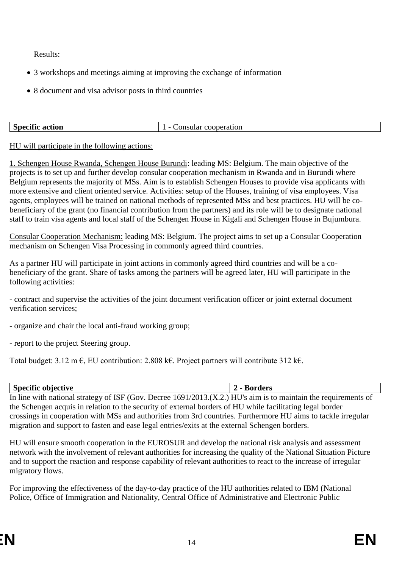Results:

- 3 workshops and meetings aiming at improving the exchange of information
- <span id="page-18-1"></span>• 8 document and visa advisor posts in third countries

<span id="page-18-0"></span>

| <b>Specii</b><br>$\bullet$<br>action :<br>ени | eration<br>oome<br>.<br>_ _ _ _ _ _ _ _ _ _ _ _ |
|-----------------------------------------------|-------------------------------------------------|

HU will participate in the following actions:

1. Schengen House Rwanda, Schengen House Burundi: leading MS: Belgium. The main objective of the projects is to set up and further develop consular cooperation mechanism in Rwanda and in Burundi where Belgium represents the majority of MSs. Aim is to establish Schengen Houses to provide visa applicants with more extensive and client oriented service. Activities: setup of the Houses, training of visa employees. Visa agents, employees will be trained on national methods of represented MSs and best practices. HU will be cobeneficiary of the grant (no financial contribution from the partners) and its role will be to designate national staff to train visa agents and local staff of the Schengen House in Kigali and Schengen House in Bujumbura.

Consular Cooperation Mechanism: leading MS: Belgium. The project aims to set up a Consular Cooperation mechanism on Schengen Visa Processing in commonly agreed third countries.

As a partner HU will participate in joint actions in commonly agreed third countries and will be a cobeneficiary of the grant. Share of tasks among the partners will be agreed later, HU will participate in the following activities:

- contract and supervise the activities of the joint document verification officer or joint external document verification services;

- organize and chair the local anti-fraud working group;

- report to the project Steering group.

Total budget: 3.12 m €, EU contribution: 2.808 k€. Project partners will contribute 312 k€.

| ້ | • • •<br>e objective<br>спіс |                                    | $\mathbf{u}$                        |  |
|---|------------------------------|------------------------------------|-------------------------------------|--|
|   |                              | $c \tau \alpha$ $\Gamma$<br>$\sim$ | . TTT TI<br>1,01,01,01<br>$\lambda$ |  |

<span id="page-18-2"></span>In line with national strategy of ISF (Gov. Decree 1691/2013.(X.2.) HU's aim is to maintain the requirements of the Schengen acquis in relation to the security of external borders of HU while facilitating legal border crossings in cooperation with MSs and authorities from 3rd countries. Furthermore HU aims to tackle irregular migration and support to fasten and ease legal entries/exits at the external Schengen borders.

HU will ensure smooth cooperation in the EUROSUR and develop the national risk analysis and assessment network with the involvement of relevant authorities for increasing the quality of the National Situation Picture and to support the reaction and response capability of relevant authorities to react to the increase of irregular migratory flows.

For improving the effectiveness of the day-to-day practice of the HU authorities related to IBM (National Police, Office of Immigration and Nationality, Central Office of Administrative and Electronic Public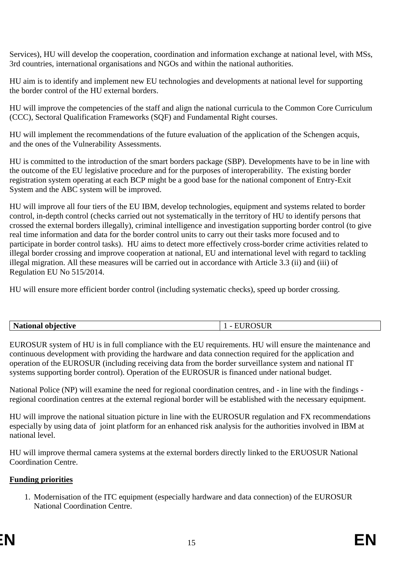Services), HU will develop the cooperation, coordination and information exchange at national level, with MSs, 3rd countries, international organisations and NGOs and within the national authorities.

HU aim is to identify and implement new EU technologies and developments at national level for supporting the border control of the HU external borders.

HU will improve the competencies of the staff and align the national curricula to the Common Core Curriculum (CCC), Sectoral Qualification Frameworks (SQF) and Fundamental Right courses.

HU will implement the recommendations of the future evaluation of the application of the Schengen acquis, and the ones of the Vulnerability Assessments.

HU is committed to the introduction of the smart borders package (SBP). Developments have to be in line with the outcome of the EU legislative procedure and for the purposes of interoperability. The existing border registration system operating at each BCP might be a good base for the national component of Entry-Exit System and the ABC system will be improved.

HU will improve all four tiers of the EU IBM, develop technologies, equipment and systems related to border control, in-depth control (checks carried out not systematically in the territory of HU to identify persons that crossed the external borders illegally), criminal intelligence and investigation supporting border control (to give real time information and data for the border control units to carry out their tasks more focused and to participate in border control tasks). HU aims to detect more effectively cross-border crime activities related to illegal border crossing and improve cooperation at national, EU and international level with regard to tackling illegal migration. All these measures will be carried out in accordance with Article 3.3 (ii) and (iii) of Regulation EU No 515/2014.

HU will ensure more efficient border control (including systematic checks), speed up border crossing.

<span id="page-19-1"></span><span id="page-19-0"></span>

| $-1 - 4 - 1 - 1$<br>objective<br>шин<br>v<br>.<br>. . | $\sim  -$<br>. .<br>UK |
|-------------------------------------------------------|------------------------|

EUROSUR system of HU is in full compliance with the EU requirements. HU will ensure the maintenance and continuous development with providing the hardware and data connection required for the application and operation of the EUROSUR (including receiving data from the border surveillance system and national IT systems supporting border control). Operation of the EUROSUR is financed under national budget.

National Police (NP) will examine the need for regional coordination centres, and - in line with the findings regional coordination centres at the external regional border will be established with the necessary equipment.

HU will improve the national situation picture in line with the EUROSUR regulation and FX recommendations especially by using data of joint platform for an enhanced risk analysis for the authorities involved in IBM at national level.

HU will improve thermal camera systems at the external borders directly linked to the ERUOSUR National Coordination Centre.

# **Funding priorities**

1. Modernisation of the ITC equipment (especially hardware and data connection) of the EUROSUR National Coordination Centre.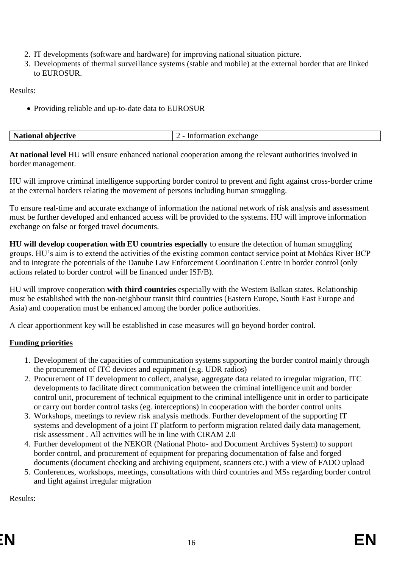- 2. IT developments (software and hardware) for improving national situation picture.
- 3. Developments of thermal surveillance systems (stable and mobile) at the external border that are linked to EUROSUR.

Results:

<span id="page-20-0"></span>• Providing reliable and up-to-date data to EUROSUR

| National objective | Information exchange |
|--------------------|----------------------|

**At national level** HU will ensure enhanced national cooperation among the relevant authorities involved in border management.

HU will improve criminal intelligence supporting border control to prevent and fight against cross-border crime at the external borders relating the movement of persons including human smuggling.

To ensure real-time and accurate exchange of information the national network of risk analysis and assessment must be further developed and enhanced access will be provided to the systems. HU will improve information exchange on false or forged travel documents.

**HU will develop cooperation with EU countries especially** to ensure the detection of human smuggling groups. HU's aim is to extend the activities of the existing common contact service point at Mohács River BCP and to integrate the potentials of the Danube Law Enforcement Coordination Centre in border control (only actions related to border control will be financed under ISF/B).

HU will improve cooperation **with third countries** especially with the Western Balkan states. Relationship must be established with the non-neighbour transit third countries (Eastern Europe, South East Europe and Asia) and cooperation must be enhanced among the border police authorities.

A clear apportionment key will be established in case measures will go beyond border control.

# **Funding priorities**

- 1. Development of the capacities of communication systems supporting the border control mainly through the procurement of ITC devices and equipment (e.g. UDR radios)
- 2. Procurement of IT development to collect, analyse, aggregate data related to irregular migration, ITC developments to facilitate direct communication between the criminal intelligence unit and border control unit, procurement of technical equipment to the criminal intelligence unit in order to participate or carry out border control tasks (eg. interceptions) in cooperation with the border control units
- 3. Workshops, meetings to review risk analysis methods. Further development of the supporting IT systems and development of a joint IT platform to perform migration related daily data management, risk assessment . All activities will be in line with CIRAM 2.0
- 4. Further development of the NEKOR (National Photo- and Document Archives System) to support border control, and procurement of equipment for preparing documentation of false and forged documents (document checking and archiving equipment, scanners etc.) with a view of FADO upload
- 5. Conferences, workshops, meetings, consultations with third countries and MSs regarding border control and fight against irregular migration

Results: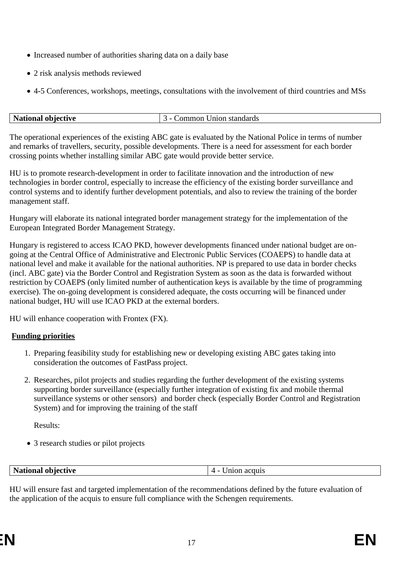- Increased number of authorities sharing data on a daily base
- 2 risk analysis methods reviewed
- <span id="page-21-0"></span>4-5 Conferences, workshops, meetings, consultations with the involvement of third countries and MSs

| Nc<br>'ective<br>$^{\bullet}$ | ommon<br>standards<br>$1 + 1 - 1 - 1 - 1$<br>Ummon<br>$\sim$ |
|-------------------------------|--------------------------------------------------------------|

The operational experiences of the existing ABC gate is evaluated by the National Police in terms of number and remarks of travellers, security, possible developments. There is a need for assessment for each border crossing points whether installing similar ABC gate would provide better service.

HU is to promote research-development in order to facilitate innovation and the introduction of new technologies in border control, especially to increase the efficiency of the existing border surveillance and control systems and to identify further development potentials, and also to review the training of the border management staff.

Hungary will elaborate its national integrated border management strategy for the implementation of the European Integrated Border Management Strategy.

Hungary is registered to access ICAO PKD, however developments financed under national budget are ongoing at the Central Office of Administrative and Electronic Public Services (COAEPS) to handle data at national level and make it available for the national authorities. NP is prepared to use data in border checks (incl. ABC gate) via the Border Control and Registration System as soon as the data is forwarded without restriction by COAEPS (only limited number of authentication keys is available by the time of programming exercise). The on-going development is considered adequate, the costs occurring will be financed under national budget, HU will use ICAO PKD at the external borders.

HU will enhance cooperation with Frontex (FX).

# **Funding priorities**

- 1. Preparing feasibility study for establishing new or developing existing ABC gates taking into consideration the outcomes of FastPass project.
- 2. Researches, pilot projects and studies regarding the further development of the existing systems supporting border surveillance (especially further integration of existing fix and mobile thermal surveillance systems or other sensors) and border check (especially Border Control and Registration System) and for improving the training of the staff

<span id="page-21-1"></span>Results:

• 3 research studies or pilot projects

| оняі |  | <b>Natio</b><br>phiective | cauis |
|------|--|---------------------------|-------|
|------|--|---------------------------|-------|

HU will ensure fast and targeted implementation of the recommendations defined by the future evaluation of the application of the acquis to ensure full compliance with the Schengen requirements.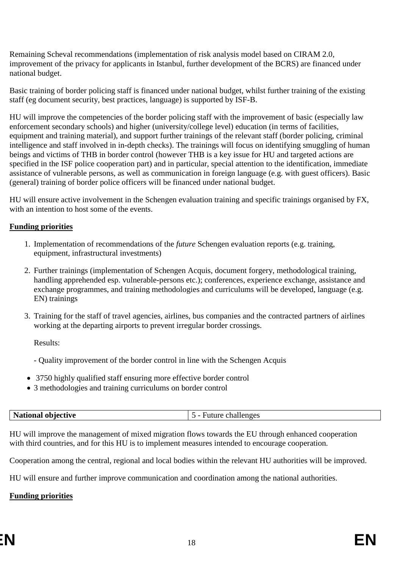Remaining Scheval recommendations (implementation of risk analysis model based on CIRAM 2.0, improvement of the privacy for applicants in Istanbul, further development of the BCRS) are financed under national budget.

Basic training of border policing staff is financed under national budget, whilst further training of the existing staff (eg document security, best practices, language) is supported by ISF-B.

HU will improve the competencies of the border policing staff with the improvement of basic (especially law enforcement secondary schools) and higher (university/college level) education (in terms of facilities, equipment and training material), and support further trainings of the relevant staff (border policing, criminal intelligence and staff involved in in-depth checks). The trainings will focus on identifying smuggling of human beings and victims of THB in border control (however THB is a key issue for HU and targeted actions are specified in the ISF police cooperation part) and in particular, special attention to the identification, immediate assistance of vulnerable persons, as well as communication in foreign language (e.g. with guest officers). Basic (general) training of border police officers will be financed under national budget.

HU will ensure active involvement in the Schengen evaluation training and specific trainings organised by FX, with an intention to host some of the events.

#### **Funding priorities**

- 1. Implementation of recommendations of the *future* Schengen evaluation reports (e.g. training, equipment, infrastructural investments)
- 2. Further trainings (implementation of Schengen Acquis, document forgery, methodological training, handling apprehended esp. vulnerable-persons etc.); conferences, experience exchange, assistance and exchange programmes, and training methodologies and curriculums will be developed, language (e.g. EN) trainings
- 3. Training for the staff of travel agencies, airlines, bus companies and the contracted partners of airlines working at the departing airports to prevent irregular border crossings.

Results:

- Quality improvement of the border control in line with the Schengen Acquis
- 3750 highly qualified staff ensuring more effective border control
- <span id="page-22-0"></span>3 methodologies and training curriculums on border control

HU will improve the management of mixed migration flows towards the EU through enhanced cooperation with third countries, and for this HU is to implement measures intended to encourage cooperation.

Cooperation among the central, regional and local bodies within the relevant HU authorities will be improved.

HU will ensure and further improve communication and coordination among the national authorities.

# **Funding priorities**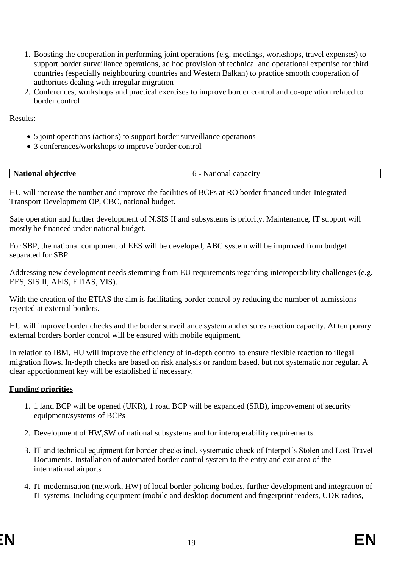- 1. Boosting the cooperation in performing joint operations (e.g. meetings, workshops, travel expenses) to support border surveillance operations, ad hoc provision of technical and operational expertise for third countries (especially neighbouring countries and Western Balkan) to practice smooth cooperation of authorities dealing with irregular migration
- 2. Conferences, workshops and practical exercises to improve border control and co-operation related to border control

Results:

- 5 joint operations (actions) to support border surveillance operations
- <span id="page-23-0"></span>• 3 conferences/workshops to improve border control

| י ווזוונ.<br>vauv | <b>National objective</b> | ∽<br>capacity |
|-------------------|---------------------------|---------------|

HU will increase the number and improve the facilities of BCPs at RO border financed under Integrated Transport Development OP, CBC, national budget.

Safe operation and further development of N.SIS II and subsystems is priority. Maintenance, IT support will mostly be financed under national budget.

For SBP, the national component of EES will be developed, ABC system will be improved from budget separated for SBP.

Addressing new development needs stemming from EU requirements regarding interoperability challenges (e.g. EES, SIS II, AFIS, ETIAS, VIS).

With the creation of the ETIAS the aim is facilitating border control by reducing the number of admissions rejected at external borders.

HU will improve border checks and the border surveillance system and ensures reaction capacity. At temporary external borders border control will be ensured with mobile equipment.

In relation to IBM, HU will improve the efficiency of in-depth control to ensure flexible reaction to illegal migration flows. In-depth checks are based on risk analysis or random based, but not systematic nor regular. A clear apportionment key will be established if necessary.

# **Funding priorities**

- 1. 1 land BCP will be opened (UKR), 1 road BCP will be expanded (SRB), improvement of security equipment/systems of BCPs
- 2. Development of HW,SW of national subsystems and for interoperability requirements.
- 3. IT and technical equipment for border checks incl. systematic check of Interpol's Stolen and Lost Travel Documents. Installation of automated border control system to the entry and exit area of the international airports
- 4. IT modernisation (network, HW) of local border policing bodies, further development and integration of IT systems. Including equipment (mobile and desktop document and fingerprint readers, UDR radios,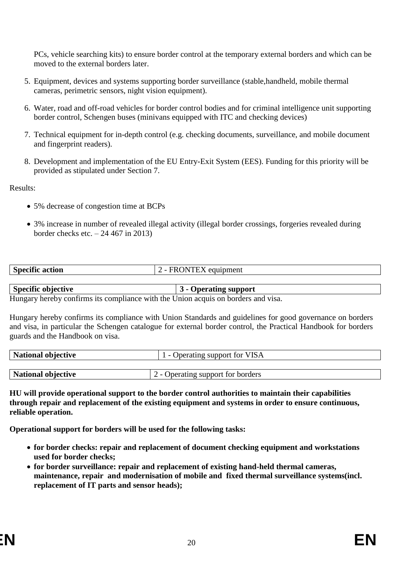PCs, vehicle searching kits) to ensure border control at the temporary external borders and which can be moved to the external borders later.

- 5. Equipment, devices and systems supporting border surveillance (stable,handheld, mobile thermal cameras, perimetric sensors, night vision equipment).
- 6. Water, road and off-road vehicles for border control bodies and for criminal intelligence unit supporting border control, Schengen buses (minivans equipped with ITC and checking devices)
- 7. Technical equipment for in-depth control (e.g. checking documents, surveillance, and mobile document and fingerprint readers).
- 8. Development and implementation of the EU Entry-Exit System (EES). Funding for this priority will be provided as stipulated under Section 7.

#### Results:

- 5% decrease of congestion time at BCPs
- <span id="page-24-2"></span><span id="page-24-1"></span> 3% increase in number of revealed illegal activity (illegal border crossings, forgeries revealed during border checks etc.  $-24,467$  in 2013)

<span id="page-24-0"></span>

| $\bullet$<br><b>Specif</b><br>action<br>11 I C<br>. | equipment<br>.<br>.<br>______<br>the contract of the contract of the contract of the contract of the contract of |
|-----------------------------------------------------|------------------------------------------------------------------------------------------------------------------|
|                                                     |                                                                                                                  |

| Specific objective                                                               | Operating support |
|----------------------------------------------------------------------------------|-------------------|
| Hungary bereby confirms its compliance with the Union acquis on borders and visa |                   |

Hungary hereby confirms its compliance with the Union acquis on borders and visa.

Hungary hereby confirms its compliance with Union Standards and guidelines for good governance on borders and visa, in particular the Schengen catalogue for external border control, the Practical Handbook for borders guards and the Handbook on visa.

<span id="page-24-4"></span><span id="page-24-3"></span>

| National objective        | <sup>1</sup> - Operating support for VISA |  |
|---------------------------|-------------------------------------------|--|
|                           |                                           |  |
| <b>National objective</b> | Operating support for borders             |  |

<span id="page-24-5"></span>**HU will provide operational support to the border control authorities to maintain their capabilities through repair and replacement of the existing equipment and systems in order to ensure continuous, reliable operation.**

**Operational support for borders will be used for the following tasks:**

- **for border checks: repair and replacement of document checking equipment and workstations used for border checks;**
- **for border surveillance: repair and replacement of existing hand-held thermal cameras, maintenance, repair and modernisation of mobile and fixed thermal surveillance systems(incl. replacement of IT parts and sensor heads);**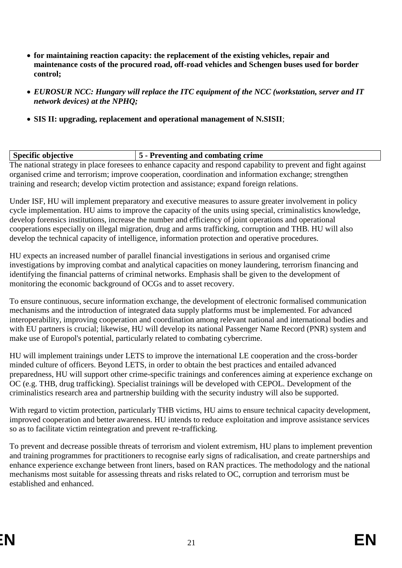- **for maintaining reaction capacity: the replacement of the existing vehicles, repair and maintenance costs of the procured road, off-road vehicles and Schengen buses used for border control;**
- *EUROSUR NCC: Hungary will replace the ITC equipment of the NCC (workstation, server and IT network devices) at the NPHQ;*
- <span id="page-25-1"></span>**SIS II: upgrading, replacement and operational management of N.SISII**;

<span id="page-25-0"></span>

| Specific objective | 5 - Preventing and combating crime                                                                              |  |
|--------------------|-----------------------------------------------------------------------------------------------------------------|--|
|                    | The national strategy in place foresees to enhance capacity and respond capability to prevent and fight against |  |

organised crime and terrorism; improve cooperation, coordination and information exchange; strengthen training and research; develop victim protection and assistance; expand foreign relations.

Under ISF, HU will implement preparatory and executive measures to assure greater involvement in policy cycle implementation. HU aims to improve the capacity of the units using special, criminalistics knowledge, develop forensics institutions, increase the number and efficiency of joint operations and operational cooperations especially on illegal migration, drug and arms trafficking, corruption and THB. HU will also develop the technical capacity of intelligence, information protection and operative procedures.

HU expects an increased number of parallel financial investigations in serious and organised crime investigations by improving combat and analytical capacities on money laundering, terrorism financing and identifying the financial patterns of criminal networks. Emphasis shall be given to the development of monitoring the economic background of OCGs and to asset recovery.

To ensure continuous, secure information exchange, the development of electronic formalised communication mechanisms and the introduction of integrated data supply platforms must be implemented. For advanced interoperability, improving cooperation and coordination among relevant national and international bodies and with EU partners is crucial; likewise, HU will develop its national Passenger Name Record (PNR) system and make use of Europol's potential, particularly related to combating cybercrime.

HU will implement trainings under LETS to improve the international LE cooperation and the cross-border minded culture of officers. Beyond LETS, in order to obtain the best practices and entailed advanced preparedness, HU will support other crime-specific trainings and conferences aiming at experience exchange on OC (e.g. THB, drug trafficking). Specialist trainings will be developed with CEPOL. Development of the criminalistics research area and partnership building with the security industry will also be supported.

With regard to victim protection, particularly THB victims, HU aims to ensure technical capacity development, improved cooperation and better awareness. HU intends to reduce exploitation and improve assistance services so as to facilitate victim reintegration and prevent re-trafficking.

To prevent and decrease possible threats of terrorism and violent extremism, HU plans to implement prevention and training programmes for practitioners to recognise early signs of radicalisation, and create partnerships and enhance experience exchange between front liners, based on RAN practices. The methodology and the national mechanisms most suitable for assessing threats and risks related to OC, corruption and terrorism must be established and enhanced.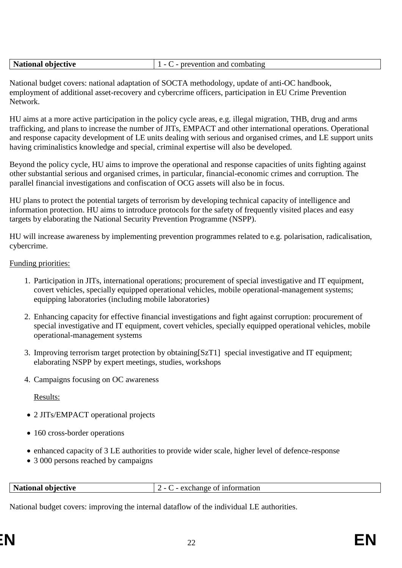<span id="page-26-1"></span><span id="page-26-0"></span>

| <b>National objective</b> | - prevention and combating<br>. |
|---------------------------|---------------------------------|

National budget covers: national adaptation of SOCTA methodology, update of anti-OC handbook, employment of additional asset-recovery and cybercrime officers, participation in EU Crime Prevention Network.

HU aims at a more active participation in the policy cycle areas, e.g. illegal migration, THB, drug and arms trafficking, and plans to increase the number of JITs, EMPACT and other international operations. Operational and response capacity development of LE units dealing with serious and organised crimes, and LE support units having criminalistics knowledge and special, criminal expertise will also be developed.

Beyond the policy cycle, HU aims to improve the operational and response capacities of units fighting against other substantial serious and organised crimes, in particular, financial-economic crimes and corruption. The parallel financial investigations and confiscation of OCG assets will also be in focus.

HU plans to protect the potential targets of terrorism by developing technical capacity of intelligence and information protection. HU aims to introduce protocols for the safety of frequently visited places and easy targets by elaborating the National Security Prevention Programme (NSPP).

HU will increase awareness by implementing prevention programmes related to e.g. polarisation, radicalisation, cybercrime.

#### Funding priorities:

- 1. Participation in JITs, international operations; procurement of special investigative and IT equipment, covert vehicles, specially equipped operational vehicles, mobile operational-management systems; equipping laboratories (including mobile laboratories)
- 2. Enhancing capacity for effective financial investigations and fight against corruption: procurement of special investigative and IT equipment, covert vehicles, specially equipped operational vehicles, mobile operational-management systems
- 3. Improving terrorism target protection by obtaining[SzT1] special investigative and IT equipment; elaborating NSPP by expert meetings, studies, workshops
- 4. Campaigns focusing on OC awareness

Results:

- 2 JITs/EMPACT operational projects
- 160 cross-border operations
- enhanced capacity of 3 LE authorities to provide wider scale, higher level of defence-response
- <span id="page-26-2"></span>• 3 000 persons reached by campaigns

| <b>National objective</b> | : exchange of information |
|---------------------------|---------------------------|
|---------------------------|---------------------------|

National budget covers: improving the internal dataflow of the individual LE authorities.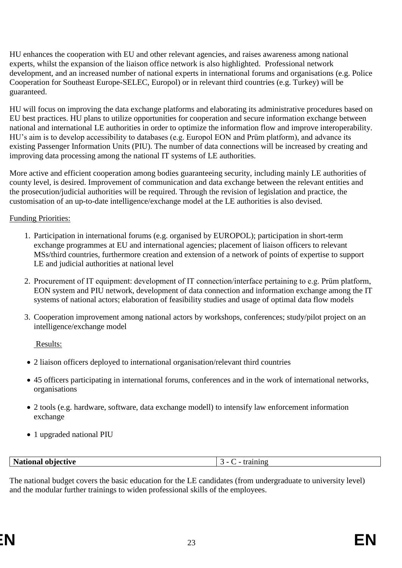HU enhances the cooperation with EU and other relevant agencies, and raises awareness among national experts, whilst the expansion of the liaison office network is also highlighted. Professional network development, and an increased number of national experts in international forums and organisations (e.g. Police Cooperation for Southeast Europe-SELEC, Europol) or in relevant third countries (e.g. Turkey) will be guaranteed.

HU will focus on improving the data exchange platforms and elaborating its administrative procedures based on EU best practices. HU plans to utilize opportunities for cooperation and secure information exchange between national and international LE authorities in order to optimize the information flow and improve interoperability. HU's aim is to develop accessibility to databases (e.g. Europol EON and Prüm platform), and advance its existing Passenger Information Units (PIU). The number of data connections will be increased by creating and improving data processing among the national IT systems of LE authorities.

More active and efficient cooperation among bodies guaranteeing security, including mainly LE authorities of county level, is desired. Improvement of communication and data exchange between the relevant entities and the prosecution/judicial authorities will be required. Through the revision of legislation and practice, the customisation of an up-to-date intelligence/exchange model at the LE authorities is also devised.

# Funding Priorities:

- 1. Participation in international forums (e.g. organised by EUROPOL); participation in short-term exchange programmes at EU and international agencies; placement of liaison officers to relevant MSs/third countries, furthermore creation and extension of a network of points of expertise to support LE and judicial authorities at national level
- 2. Procurement of IT equipment: development of IT connection/interface pertaining to e.g. Prüm platform, EON system and PIU network, development of data connection and information exchange among the IT systems of national actors; elaboration of feasibility studies and usage of optimal data flow models
- 3. Cooperation improvement among national actors by workshops, conferences; study/pilot project on an intelligence/exchange model

Results:

- 2 liaison officers deployed to international organisation/relevant third countries
- 45 officers participating in international forums, conferences and in the work of international networks, organisations
- 2 tools (e.g. hardware, software, data exchange modell) to intensify law enforcement information exchange
- <span id="page-27-0"></span>• 1 upgraded national PIU

| $\sim$ b = $\sim$ $\sim$ 4<br>. .<br>$-1$ $-1$ $-1$ $-1$ $-1$ | $-$ |
|---------------------------------------------------------------|-----|

The national budget covers the basic education for the LE candidates (from undergraduate to university level) and the modular further trainings to widen professional skills of the employees.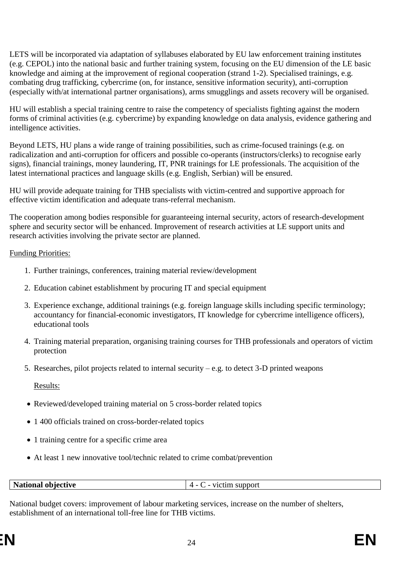LETS will be incorporated via adaptation of syllabuses elaborated by EU law enforcement training institutes (e.g. CEPOL) into the national basic and further training system, focusing on the EU dimension of the LE basic knowledge and aiming at the improvement of regional cooperation (strand 1-2). Specialised trainings, e.g. combating drug trafficking, cybercrime (on, for instance, sensitive information security), anti-corruption (especially with/at international partner organisations), arms smugglings and assets recovery will be organised.

HU will establish a special training centre to raise the competency of specialists fighting against the modern forms of criminal activities (e.g. cybercrime) by expanding knowledge on data analysis, evidence gathering and intelligence activities.

Beyond LETS, HU plans a wide range of training possibilities, such as crime-focused trainings (e.g. on radicalization and anti-corruption for officers and possible co-operants (instructors/clerks) to recognise early signs), financial trainings, money laundering, IT, PNR trainings for LE professionals. The acquisition of the latest international practices and language skills (e.g. English, Serbian) will be ensured.

HU will provide adequate training for THB specialists with victim-centred and supportive approach for effective victim identification and adequate trans-referral mechanism.

The cooperation among bodies responsible for guaranteeing internal security, actors of research-development sphere and security sector will be enhanced. Improvement of research activities at LE support units and research activities involving the private sector are planned.

#### Funding Priorities:

- 1. Further trainings, conferences, training material review/development
- 2. Education cabinet establishment by procuring IT and special equipment
- 3. Experience exchange, additional trainings (e.g. foreign language skills including specific terminology; accountancy for financial-economic investigators, IT knowledge for cybercrime intelligence officers), educational tools
- 4. Training material preparation, organising training courses for THB professionals and operators of victim protection
- 5. Researches, pilot projects related to internal security e.g. to detect 3-D printed weapons

Results:

- Reviewed/developed training material on 5 cross-border related topics
- 1 400 officials trained on cross-border-related topics
- 1 training centre for a specific crime area
- <span id="page-28-0"></span>At least 1 new innovative tool/technic related to crime combat/prevention

| National objective | support<br>$\prime$<br>тсині<br>. . |
|--------------------|-------------------------------------|
|                    |                                     |

National budget covers: improvement of labour marketing services, increase on the number of shelters, establishment of an international toll-free line for THB victims.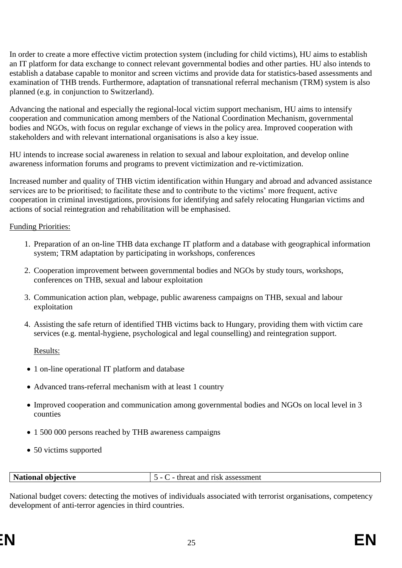In order to create a more effective victim protection system (including for child victims), HU aims to establish an IT platform for data exchange to connect relevant governmental bodies and other parties. HU also intends to establish a database capable to monitor and screen victims and provide data for statistics-based assessments and examination of THB trends. Furthermore, adaptation of transnational referral mechanism (TRM) system is also planned (e.g. in conjunction to Switzerland).

Advancing the national and especially the regional-local victim support mechanism, HU aims to intensify cooperation and communication among members of the National Coordination Mechanism, governmental bodies and NGOs, with focus on regular exchange of views in the policy area. Improved cooperation with stakeholders and with relevant international organisations is also a key issue.

HU intends to increase social awareness in relation to sexual and labour exploitation, and develop online awareness information forums and programs to prevent victimization and re-victimization.

Increased number and quality of THB victim identification within Hungary and abroad and advanced assistance services are to be prioritised; to facilitate these and to contribute to the victims' more frequent, active cooperation in criminal investigations, provisions for identifying and safely relocating Hungarian victims and actions of social reintegration and rehabilitation will be emphasised.

#### Funding Priorities:

- 1. Preparation of an on-line THB data exchange IT platform and a database with geographical information system; TRM adaptation by participating in workshops, conferences
- 2. Cooperation improvement between governmental bodies and NGOs by study tours, workshops, conferences on THB, sexual and labour exploitation
- 3. Communication action plan, webpage, public awareness campaigns on THB, sexual and labour exploitation
- 4. Assisting the safe return of identified THB victims back to Hungary, providing them with victim care services (e.g. mental-hygiene, psychological and legal counselling) and reintegration support.

Results:

- 1 on-line operational IT platform and database
- Advanced trans-referral mechanism with at least 1 country
- Improved cooperation and communication among governmental bodies and NGOs on local level in 3 counties
- 1 500 000 persons reached by THB awareness campaigns
- <span id="page-29-0"></span>• 50 victims supported

| <i>National objective</i> | threat and risk assessment |
|---------------------------|----------------------------|
|---------------------------|----------------------------|

National budget covers: detecting the motives of individuals associated with terrorist organisations, competency development of anti-terror agencies in third countries.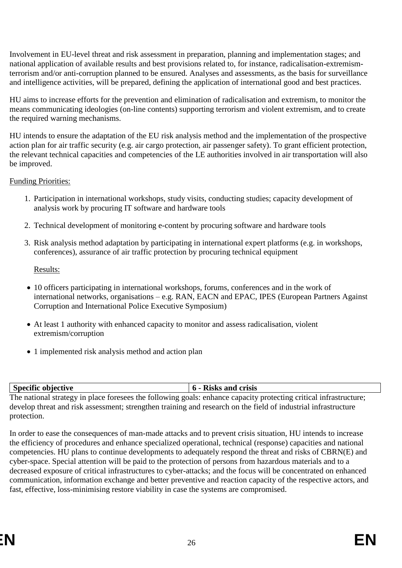Involvement in EU-level threat and risk assessment in preparation, planning and implementation stages; and national application of available results and best provisions related to, for instance, radicalisation-extremismterrorism and/or anti-corruption planned to be ensured. Analyses and assessments, as the basis for surveillance and intelligence activities, will be prepared, defining the application of international good and best practices.

HU aims to increase efforts for the prevention and elimination of radicalisation and extremism, to monitor the means communicating ideologies (on-line contents) supporting terrorism and violent extremism, and to create the required warning mechanisms.

HU intends to ensure the adaptation of the EU risk analysis method and the implementation of the prospective action plan for air traffic security (e.g. air cargo protection, air passenger safety). To grant efficient protection, the relevant technical capacities and competencies of the LE authorities involved in air transportation will also be improved.

#### Funding Priorities:

- 1. Participation in international workshops, study visits, conducting studies; capacity development of analysis work by procuring IT software and hardware tools
- 2. Technical development of monitoring e-content by procuring software and hardware tools
- 3. Risk analysis method adaptation by participating in international expert platforms (e.g. in workshops, conferences), assurance of air traffic protection by procuring technical equipment

#### Results:

- 10 officers participating in international workshops, forums, conferences and in the work of international networks, organisations – e.g. RAN, EACN and EPAC, IPES (European Partners Against Corruption and International Police Executive Symposium)
- At least 1 authority with enhanced capacity to monitor and assess radicalisation, violent extremism/corruption
- <span id="page-30-1"></span>• 1 implemented risk analysis method and action plan

<span id="page-30-0"></span>**Specific objective 6 - Risks and crisis**

The national strategy in place foresees the following goals: enhance capacity protecting critical infrastructure; develop threat and risk assessment; strengthen training and research on the field of industrial infrastructure protection.

In order to ease the consequences of man-made attacks and to prevent crisis situation, HU intends to increase the efficiency of procedures and enhance specialized operational, technical (response) capacities and national competencies. HU plans to continue developments to adequately respond the threat and risks of CBRN(E) and cyber-space. Special attention will be paid to the protection of persons from hazardous materials and to a decreased exposure of critical infrastructures to cyber-attacks; and the focus will be concentrated on enhanced communication, information exchange and better preventive and reaction capacity of the respective actors, and fast, effective, loss-minimising restore viability in case the systems are compromised.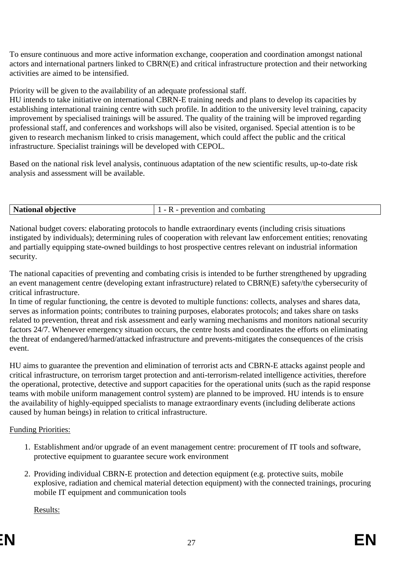To ensure continuous and more active information exchange, cooperation and coordination amongst national actors and international partners linked to CBRN(E) and critical infrastructure protection and their networking activities are aimed to be intensified.

Priority will be given to the availability of an adequate professional staff.

HU intends to take initiative on international CBRN-E training needs and plans to develop its capacities by establishing international training centre with such profile. In addition to the university level training, capacity improvement by specialised trainings will be assured. The quality of the training will be improved regarding professional staff, and conferences and workshops will also be visited, organised. Special attention is to be given to research mechanism linked to crisis management, which could affect the public and the critical infrastructure. Specialist trainings will be developed with CEPOL.

Based on the national risk level analysis, continuous adaptation of the new scientific results, up-to-date risk analysis and assessment will be available.

<span id="page-31-1"></span><span id="page-31-0"></span>

| <b>National objective</b> | evention and combating<br>nre |
|---------------------------|-------------------------------|
|                           |                               |

National budget covers: elaborating protocols to handle extraordinary events (including crisis situations instigated by individuals); determining rules of cooperation with relevant law enforcement entities; renovating and partially equipping state-owned buildings to host prospective centres relevant on industrial information security.

The national capacities of preventing and combating crisis is intended to be further strengthened by upgrading an event management centre (developing extant infrastructure) related to CBRN(E) safety/the cybersecurity of critical infrastructure.

In time of regular functioning, the centre is devoted to multiple functions: collects, analyses and shares data, serves as information points; contributes to training purposes, elaborates protocols; and takes share on tasks related to prevention, threat and risk assessment and early warning mechanisms and monitors national security factors 24/7. Whenever emergency situation occurs, the centre hosts and coordinates the efforts on eliminating the threat of endangered/harmed/attacked infrastructure and prevents-mitigates the consequences of the crisis event.

HU aims to guarantee the prevention and elimination of terrorist acts and CBRN-E attacks against people and critical infrastructure, on terrorism target protection and anti-terrorism-related intelligence activities, therefore the operational, protective, detective and support capacities for the operational units (such as the rapid response teams with mobile uniform management control system) are planned to be improved. HU intends is to ensure the availability of highly-equipped specialists to manage extraordinary events (including deliberate actions caused by human beings) in relation to critical infrastructure.

# Funding Priorities:

- 1. Establishment and/or upgrade of an event management centre: procurement of IT tools and software, protective equipment to guarantee secure work environment
- 2. Providing individual CBRN-E protection and detection equipment (e.g. protective suits, mobile explosive, radiation and chemical material detection equipment) with the connected trainings, procuring mobile IT equipment and communication tools

Results: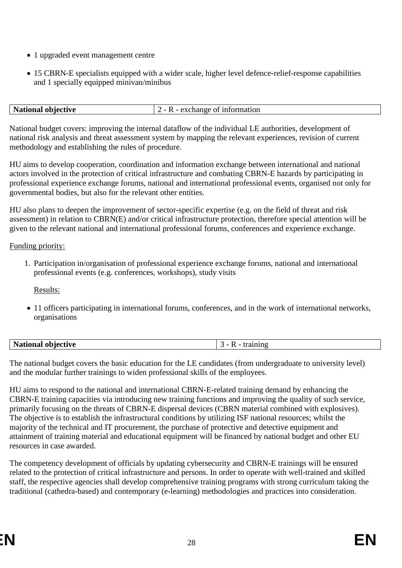- 1 upgraded event management centre
- <span id="page-32-0"></span> 15 CBRN-E specialists equipped with a wider scale, higher level defence-relief-response capabilities and 1 specially equipped minivan/minibus

| National objective | - informatiol.<br>знаняе от<br>- B<br>$-1$<br>the contract of the contract of the contract of |
|--------------------|-----------------------------------------------------------------------------------------------|

National budget covers: improving the internal dataflow of the individual LE authorities, development of national risk analysis and threat assessment system by mapping the relevant experiences, revision of current methodology and establishing the rules of procedure.

HU aims to develop cooperation, coordination and information exchange between international and national actors involved in the protection of critical infrastructure and combating CBRN-E hazards by participating in professional experience exchange forums, national and international professional events, organised not only for governmental bodies, but also for the relevant other entities.

HU also plans to deepen the improvement of sector-specific expertise (e.g. on the field of threat and risk assessment) in relation to CBRN(E) and/or critical infrastructure protection, therefore special attention will be given to the relevant national and international professional forums, conferences and experience exchange.

# Funding priority:

1. Participation in/organisation of professional experience exchange forums, national and international professional events (e.g. conferences, workshops), study visits

<span id="page-32-1"></span>Results:

 11 officers participating in international forums, conferences, and in the work of international networks, organisations

| - Na.<br>`iective<br>------<br>поня | . . |
|-------------------------------------|-----|
|                                     |     |

The national budget covers the basic education for the LE candidates (from undergraduate to university level) and the modular further trainings to widen professional skills of the employees.

HU aims to respond to the national and international CBRN-E-related training demand by enhancing the CBRN-E training capacities via introducing new training functions and improving the quality of such service, primarily focusing on the threats of CBRN-E dispersal devices (CBRN material combined with explosives). The objective is to establish the infrastructural conditions by utilizing ISF national resources; whilst the majority of the technical and IT procurement, the purchase of protective and detective equipment and attainment of training material and educational equipment will be financed by national budget and other EU resources in case awarded.

The competency development of officials by updating cybersecurity and CBRN-E trainings will be ensured related to the protection of critical infrastructure and persons. In order to operate with well-trained and skilled staff, the respective agencies shall develop comprehensive training programs with strong curriculum taking the traditional (cathedra-based) and contemporary (e-learning) methodologies and practices into consideration.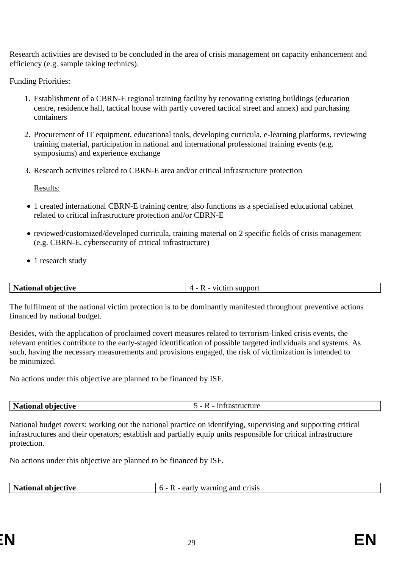Research activities are devised to be concluded in the area of crisis management on capacity enhancement and efficiency (e.g. sample taking technics).

### Funding Priorities:

- 1. Establishment of a CBRN-E regional training facility by renovating existing buildings (education centre, residence hall, tactical house with partly covered tactical street and annex) and purchasing containers
- 2. Procurement of IT equipment, educational tools, developing curricula, e-learning platforms, reviewing training material, participation in national and international professional training events (e.g. symposiums) and experience exchange
- 3. Research activities related to CBRN-E area and/or critical infrastructure protection

Results:

- 1 created international CBRN-E training centre, also functions as a specialised educational cabinet related to critical infrastructure protection and/or CBRN-E
- reviewed/customized/developed curricula, training material on 2 specific fields of crisis management (e.g. CBRN-E, cybersecurity of critical infrastructure)
- <span id="page-33-0"></span>• 1 research study

| National objective | victim support<br>-IN |
|--------------------|-----------------------|

The fulfilment of the national victim protection is to be dominantly manifested throughout preventive actions financed by national budget.

Besides, with the application of proclaimed covert measures related to terrorism-linked crisis events, the relevant entities contribute to the early-staged identification of possible targeted individuals and systems. As such, having the necessary measurements and provisions engaged, the risk of victimization is intended to be minimized.

No actions under this objective are planned to be financed by ISF.

| N.<br>ាbiective<br>ructure<br>. .<br>.<br>. . |
|-----------------------------------------------|
|-----------------------------------------------|

<span id="page-33-1"></span>National budget covers: working out the national practice on identifying, supervising and supporting critical infrastructures and their operators; establish and partially equip units responsible for critical infrastructure protection.

No actions under this objective are planned to be financed by ISF.

<span id="page-33-2"></span>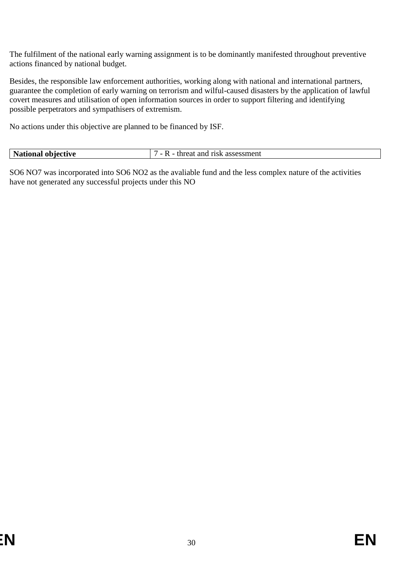The fulfilment of the national early warning assignment is to be dominantly manifested throughout preventive actions financed by national budget.

Besides, the responsible law enforcement authorities, working along with national and international partners, guarantee the completion of early warning on terrorism and wilful-caused disasters by the application of lawful covert measures and utilisation of open information sources in order to support filtering and identifying possible perpetrators and sympathisers of extremism.

No actions under this objective are planned to be financed by ISF.

<span id="page-34-0"></span>

| -objective<br><b>National OD</b> | . .<br>+ ----<br>risk assessment<br>anu<br>лгеат<br>$\overline{\phantom{0}}$ |
|----------------------------------|------------------------------------------------------------------------------|
|                                  |                                                                              |

<span id="page-34-1"></span>SO6 NO7 was incorporated into SO6 NO2 as the avaliable fund and the less complex nature of the activities have not generated any successful projects under this NO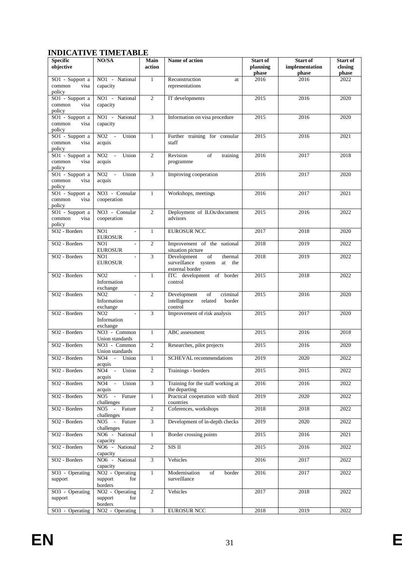# **INDICATIVE TIMETABLE**

| <b>Specific</b><br>objective                | NO/SA                                                         | Main<br>action | Name of action                                                                   | <b>Start of</b><br>planning<br>phase | Start of<br>implementation<br>phase | Start of<br>closing<br>phase |
|---------------------------------------------|---------------------------------------------------------------|----------------|----------------------------------------------------------------------------------|--------------------------------------|-------------------------------------|------------------------------|
| SO1 - Support a<br>common<br>visa<br>policy | NO1 - National<br>capacity                                    | $\mathbf{1}$   | Reconstruction<br>at<br>representations                                          | 2016                                 | 2016                                | 2022                         |
| SO1 - Support a<br>common<br>visa<br>policy | NO1 - National<br>capacity                                    | $\overline{2}$ | IT developments                                                                  | 2015                                 | 2016                                | 2020                         |
| SO1 - Support a<br>common<br>visa<br>policy | NO1 - National<br>capacity                                    | 3              | Information on visa procedure                                                    | 2015                                 | 2016                                | 2020                         |
| SO1 - Support a<br>common<br>visa<br>policy | $NO2 -$<br>Union<br>acquis                                    | $\mathbf{1}$   | Further training for consular<br>staff                                           | 2015                                 | 2016                                | 2021                         |
| SO1 - Support a<br>common<br>visa<br>policy | $NO2 -$<br>Union<br>acquis                                    | $\overline{2}$ | Revision<br>of<br>training<br>programme                                          | 2016                                 | 2017                                | 2018                         |
| SO1 - Support a<br>common<br>visa<br>policy | $NO2 -$<br>Union<br>acquis                                    | $\overline{3}$ | Improving cooperation                                                            | 2016                                 | 2017                                | 2020                         |
| SO1 - Support a<br>common<br>visa<br>policy | NO <sub>3</sub> - Consular<br>cooperation                     | $\mathbf{1}$   | Workshops, meetings                                                              | 2016                                 | 2017                                | 2021                         |
| SO1 - Support a<br>common<br>visa<br>policy | NO <sub>3</sub> - Consular<br>cooperation                     | 2              | Deployment of ILOs/document<br>advisors                                          | 2015                                 | 2016                                | 2022                         |
| SO <sub>2</sub> - Borders                   | NO <sub>1</sub><br>$\overline{\phantom{a}}$<br><b>EUROSUR</b> | 1              | <b>EUROSUR NCC</b>                                                               | 2017                                 | 2018                                | 2020                         |
| SO <sub>2</sub> - Borders                   | NO1<br><b>EUROSUR</b>                                         | $\mathbf{2}$   | Improvement of the national<br>situation picture                                 | 2018                                 | 2019                                | 2022                         |
| SO <sub>2</sub> - Borders                   | NO1<br><b>EUROSUR</b>                                         | $\overline{3}$ | Development<br>of<br>thermal<br>surveillance system<br>at the<br>external border | 2018                                 | 2019                                | 2022                         |
| SO <sub>2</sub> - Borders                   | NO <sub>2</sub><br>$\overline{a}$<br>Information<br>exchange  | $\mathbf{1}$   | ITC development of border<br>control                                             | 2015                                 | 2018                                | 2022                         |
| SO2 - Borders                               | NO2<br>Information<br>exchange                                | $\overline{2}$ | Development<br>of<br>criminal<br>intelligence<br>related<br>border<br>control    | 2015                                 | 2016                                | 2020                         |
| SO <sub>2</sub> - Borders                   | NO2<br>$\overline{a}$<br>Information<br>exchange              | $\overline{3}$ | Improvement of risk analysis                                                     | 2015                                 | 2017                                | 2020                         |
| SO <sub>2</sub> - Borders                   | NO <sub>3</sub> - Common<br>Union standards                   | $\mathbf{1}$   | ABC assessment                                                                   | 2015                                 | 2016                                | 2018                         |
| SO <sub>2</sub> - Borders                   | NO3 - Common<br>Union standards                               | $\mathbf{2}$   | Researches, pilot projects                                                       | 2015                                 | 2016                                | 2020                         |
| SO <sub>2</sub> - Borders                   | NO4 - Union<br>acquis                                         | $\mathbf{1}$   | SCHEVAL recommendations                                                          | 2019                                 | 2020                                | 2022                         |
| SO <sub>2</sub> - Borders                   | $\sim$<br>Union<br>NO4<br>acquis                              | $\overline{2}$ | Trainings - borders                                                              | 2015                                 | 2015                                | 2022                         |
| SO2 - Borders                               | Union<br>NO4<br>$\sim$<br>acquis                              | 3              | Training for the staff working at<br>the departing                               | 2016                                 | 2016                                | 2022                         |
| SO <sub>2</sub> - Borders                   | NO5 - Future<br>challenges                                    | $\mathbf{1}$   | Practical cooperation with third<br>countries                                    | 2019                                 | 2020                                | 2022                         |
| SO <sub>2</sub> - Borders                   | NO <sub>5</sub> - Future<br>challenges                        | 2              | Coferences, workshops                                                            | 2018                                 | 2018                                | 2022                         |
| SO2 - Borders                               | NO5 - Future<br>challenges                                    | 3              | Development of in-depth checks                                                   | 2019                                 | 2020                                | 2022                         |
| SO <sub>2</sub> - Borders                   | NO6 - National<br>capacity                                    | $\mathbf{1}$   | Border crossing points                                                           | 2015                                 | 2016                                | 2021                         |
| SO2 - Borders                               | NO6 - National<br>capacity                                    | $\mathbf{2}$   | ${\rm SIS}$ II                                                                   | 2015                                 | 2016                                | 2022                         |
| SO2 - Borders                               | NO6 - National<br>capacity                                    | $\overline{3}$ | Vehicles                                                                         | 2016                                 | 2017                                | 2022                         |
| SO3 - Operating<br>support                  | NO <sub>2</sub> - Operating<br>support<br>for<br>borders      | $\mathbf{1}$   | Modernisation<br>of<br>border<br>surveillance                                    | 2016                                 | 2017                                | 2022                         |
| SO3 - Operating<br>support                  | NO <sub>2</sub> - Operating<br>support<br>for<br>borders      | $\overline{2}$ | Vehicles                                                                         | 2017                                 | 2018                                | 2022                         |
| SO3 - Operating                             | NO <sub>2</sub> - Operating                                   | $\mathfrak{Z}$ | EUROSUR NCC                                                                      | 2018                                 | 2019                                | 2022                         |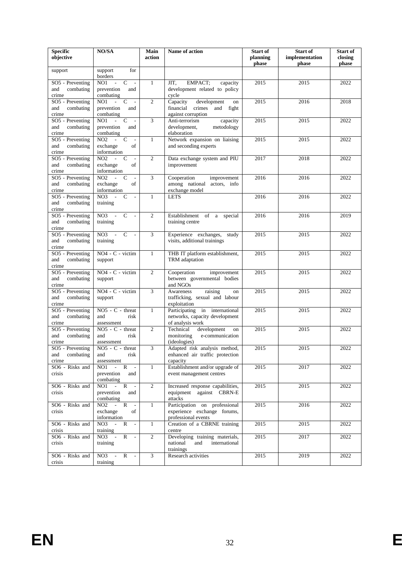| Specific<br>objective                | NO/SA                                                                                       | Main<br>action | <b>Name of action</b>                                            | Start of<br>planning | Start of<br>implementation | Start of<br>closing |
|--------------------------------------|---------------------------------------------------------------------------------------------|----------------|------------------------------------------------------------------|----------------------|----------------------------|---------------------|
|                                      |                                                                                             |                |                                                                  | phase                | phase                      | $_{\rm phase}$      |
| support                              | for<br>support<br>borders                                                                   |                |                                                                  |                      |                            |                     |
| SO5 - Preventing                     | NO1<br>$\mathbf C$<br>$\sim$                                                                | $\mathbf{1}$   | JIT,<br>EMPACT;<br>capacity                                      | 2015                 | 2015                       | 2022                |
| and<br>combating<br>crime            | prevention<br>and<br>combating                                                              |                | development related to policy<br>cycle                           |                      |                            |                     |
| SO5 - Preventing                     | $NO1 -$<br>$\mathbf C$<br>$\overline{\phantom{a}}$                                          | 2              | Capacity<br>development<br>on                                    | 2015                 | 2016                       | 2018                |
| and<br>combating<br>crime            | prevention<br>and<br>combating                                                              |                | financial crimes<br>and<br>fight<br>against corruption           |                      |                            |                     |
| SO5 - Preventing                     | NO1<br>$\mathsf{C}$<br>$\sim$<br>$\sim$                                                     | 3              | Anti-terrorism<br>capacity                                       | 2015                 | 2015                       | 2022                |
| and<br>combating<br>crime            | prevention<br>and<br>combating                                                              |                | development,<br>metodology<br>elaboration                        |                      |                            |                     |
| SO5 - Preventing                     | NO2<br>$\sim$ $\sim$<br>C                                                                   | $\mathbf{1}$   | Network expansion on liaising                                    | 2015                 | 2015                       | 2022                |
| and<br>combating<br>crime            | exchange<br>of<br>information                                                               |                | and seconding experts                                            |                      |                            |                     |
| SO5 - Preventing                     | NO2<br>$\sim$<br>$\mathcal{C}$<br>L.                                                        | $\mathfrak{2}$ | Data exchange system and PIU                                     | 2017                 | 2018                       | 2022                |
| and<br>combating                     | exchange<br>of                                                                              |                | improvement                                                      |                      |                            |                     |
| crime<br>SO5 - Preventing            | information<br>NO2<br>$\overline{\phantom{a}}$<br>$\mathcal{C}$<br>$\overline{\phantom{a}}$ | 3              | Cooperation<br>improvement                                       | 2016                 | 2016                       | 2022                |
| and<br>combating                     | exchange<br>of                                                                              |                | among national actors, info                                      |                      |                            |                     |
| crime                                | information                                                                                 |                | exchange model                                                   |                      |                            |                     |
| SO5 - Preventing                     | $NO3 -$<br>$\mathcal{C}$<br>$\overline{\phantom{a}}$                                        | $\mathbf{1}$   | <b>LETS</b>                                                      | 2016                 | 2016                       | 2022                |
| and<br>combating<br>crime            | training                                                                                    |                |                                                                  |                      |                            |                     |
| SO5 - Preventing                     | $NO3 -$<br>$\mathcal{C}$                                                                    | $\overline{2}$ | Establishment of a special                                       | 2016                 | 2016                       | 2019                |
| and<br>combating                     | training                                                                                    |                | training centre                                                  |                      |                            |                     |
| crime                                |                                                                                             |                |                                                                  |                      |                            |                     |
| SO5 - Preventing<br>and<br>combating | N <sub>03</sub><br>$\overline{C}$<br>$\sim$<br>$\overline{\phantom{a}}$<br>training         | 3              | Experience exchanges,<br>study<br>visits, additional trainings   | 2015                 | 2015                       | 2022                |
| crime                                |                                                                                             |                |                                                                  |                      |                            |                     |
| SO5 - Preventing                     | NO4 - C - victim                                                                            | 1              | THB IT platform establishment,                                   | 2015                 | 2015                       | 2022                |
| and<br>combating                     | support                                                                                     |                | TRM adaptation                                                   |                      |                            |                     |
| crime<br>SO5 - Preventing            | NO4 - C - victim                                                                            | $\overline{2}$ | Cooperation<br>improvement                                       | 2015                 | 2015                       | 2022                |
| and<br>combating                     | support                                                                                     |                | between governmental bodies                                      |                      |                            |                     |
| crime                                |                                                                                             |                | and NGOs                                                         |                      |                            |                     |
| SO5 - Preventing<br>and<br>combating | NO4 - C - victim<br>support                                                                 | 3              | Awareness<br>raising<br>on<br>trafficking, sexual and labour     | 2015                 | 2015                       | 2022                |
| crime                                |                                                                                             |                | exploitation                                                     |                      |                            |                     |
| SO5 - Preventing                     | NO5 - C - threat                                                                            | $\mathbf{1}$   | Participating<br>in international                                | 2015                 | 2015                       | 2022                |
| and<br>combating<br>crime            | and<br>risk<br>assessment                                                                   |                | networks, capacity development<br>of analysis work               |                      |                            |                     |
| SO5 - Preventing                     | NO5 - C - threat                                                                            | $\overline{c}$ | development<br>Technical<br>on                                   | 2015                 | 2015                       | 2022                |
| and<br>combating                     | and<br>risk                                                                                 |                | monitoring<br>e-communication                                    |                      |                            |                     |
| crime                                | assessment<br>$NO5 - C$ - threat                                                            | 3              | (ideologies)                                                     |                      |                            | 2022                |
| SO5 - Preventing<br>combating<br>and | and<br>risk                                                                                 |                | Adapted risk analysis method,<br>enhanced air traffic protection | 2015                 | 2015                       |                     |
| crime                                | assessment                                                                                  |                | capacity                                                         |                      |                            |                     |
| SO6 - Risks and                      | NO1<br>$R -$<br>$\Box$                                                                      | 1              | Establishment and/or upgrade of                                  | 2015                 | 2017                       | 2022                |
| crisis                               | prevention<br>and<br>combating                                                              |                | event management centres                                         |                      |                            |                     |
| SO6 - Risks and                      | $NO1 - R$                                                                                   | $\overline{2}$ | Increased response capabilities,                                 | 2015                 | 2015                       | 2022                |
| crisis                               | prevention<br>and                                                                           |                | equipment against CBRN-E                                         |                      |                            |                     |
| SO6 - Risks and                      | combating<br>$NO2 - R$<br>$\sim$                                                            |                | attacks<br>Participation on professional                         |                      |                            |                     |
| crisis                               | exchange<br>of                                                                              | 1              | experience exchange forums,                                      | 2015                 | 2016                       | 2022                |
|                                      | information                                                                                 |                | professional events                                              |                      |                            |                     |
| SO6 - Risks and                      | $NO3 -$<br>$\mathbb{R}$<br>$\sim$                                                           | 1              | Creation of a CBRNE training                                     | 2015                 | 2015                       | 2022                |
| crisis<br>SO6 - Risks and            | training<br>$NO3 -$<br>$\mathbb{R}$<br>$\sim$                                               | 2              | centre<br>Developing training materials,                         | 2015                 | 2017                       | $\frac{2022}{20}$   |
| crisis                               | training                                                                                    |                | and<br>international<br>national                                 |                      |                            |                     |
|                                      |                                                                                             |                | trainings                                                        |                      |                            |                     |
| SO6 - Risks and<br>crisis            | $NO3 - R$<br>$\sim$<br>training                                                             | 3              | Research activities                                              | 2015                 | 2019                       | 2022                |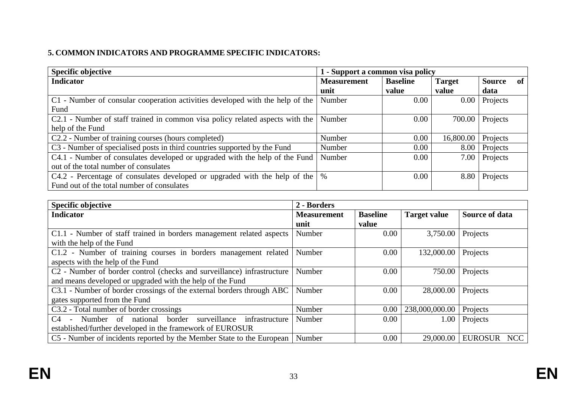# **5. COMMON INDICATORS AND PROGRAMME SPECIFIC INDICATORS:**

| <b>Specific objective</b><br>1 - Support a common visa policy                        |                    |                 |               |                     |
|--------------------------------------------------------------------------------------|--------------------|-----------------|---------------|---------------------|
| <b>Indicator</b>                                                                     | <b>Measurement</b> | <b>Baseline</b> | <b>Target</b> | <b>Source</b><br>0f |
|                                                                                      | unit               | value           | value         | data                |
| C1 - Number of consular cooperation activities developed with the help of the        | Number             | 0.00            | $0.00\,$      | Projects            |
| Fund                                                                                 |                    |                 |               |                     |
| $C2.1$ - Number of staff trained in common visa policy related aspects with the      | Number             | 0.00            | 700.00        | Projects            |
| help of the Fund                                                                     |                    |                 |               |                     |
| C2.2 - Number of training courses (hours completed)                                  | Number             | 0.00            | 16,800.00     | Projects            |
| C3 - Number of specialised posts in third countries supported by the Fund            | Number             | 0.00            | 8.00          | Projects            |
| C4.1 - Number of consulates developed or upgraded with the help of the Fund          | Number             | 0.00            | 7.00          | Projects            |
| out of the total number of consulates                                                |                    |                 |               |                     |
| $C4.2$ - Percentage of consulates developed or upgraded with the help of the $\vert$ | $\%$               | 0.00            | 8.80          | Projects            |
| Fund out of the total number of consulates                                           |                    |                 |               |                     |

<span id="page-37-0"></span>

| <b>Specific objective</b>                                                          | 2 - Borders        |                 |                     |                       |
|------------------------------------------------------------------------------------|--------------------|-----------------|---------------------|-----------------------|
| <b>Indicator</b>                                                                   | <b>Measurement</b> | <b>Baseline</b> | <b>Target value</b> | Source of data        |
|                                                                                    | unit               | value           |                     |                       |
| C1.1 - Number of staff trained in borders management related aspects               | Number             | $0.00\,$        | 3,750.00            | Projects              |
| with the help of the Fund                                                          |                    |                 |                     |                       |
| C1.2 - Number of training courses in borders management related                    | Number             | $0.00\,$        | 132,000.00          | Projects              |
| aspects with the help of the Fund                                                  |                    |                 |                     |                       |
| C <sub>2</sub> - Number of border control (checks and surveillance) infrastructure | Number             | 0.00            | 750.00              | Projects              |
| and means developed or upgraded with the help of the Fund                          |                    |                 |                     |                       |
| C3.1 - Number of border crossings of the external borders through ABC              | Number             | $0.00\,$        | 28,000.00           | Projects              |
| gates supported from the Fund                                                      |                    |                 |                     |                       |
| C3.2 - Total number of border crossings                                            | Number             | $0.00\,$        | 238,000,000.00      | Projects              |
| surveillance<br>infrastructure<br>Number of national border<br>C4<br>$\sim$        | Number             | $0.00\,$        | 1.00                | Projects              |
| established/further developed in the framework of EUROSUR                          |                    |                 |                     |                       |
| C5 - Number of incidents reported by the Member State to the European              | Number             | $0.00\,$        | 29,000.00           | <b>EUROSUR</b><br>NCC |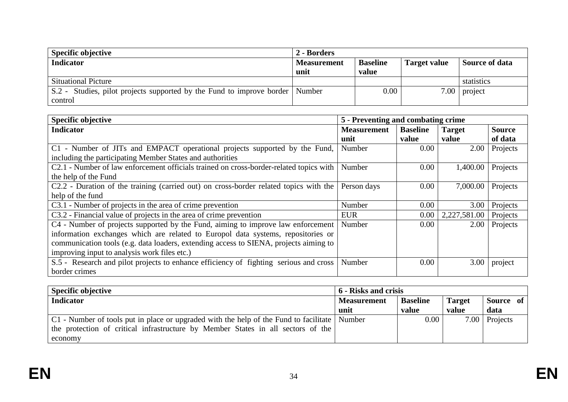| <b>Specific objective</b>                                                                 | 2 - Borders        |                 |                     |                       |
|-------------------------------------------------------------------------------------------|--------------------|-----------------|---------------------|-----------------------|
| <b>Indicator</b>                                                                          | <b>Measurement</b> | <b>Baseline</b> | <b>Target value</b> | <b>Source of data</b> |
|                                                                                           | unit               | value           |                     |                       |
| <b>Situational Picture</b>                                                                |                    |                 |                     | statistics            |
| S.2 - Studies, pilot projects supported by the Fund to improve border   Number<br>control |                    | $0.00\,$        |                     | $7.00$   project      |

| <b>Specific objective</b>                                                              | 5 - Preventing and combating crime |                 |               |               |
|----------------------------------------------------------------------------------------|------------------------------------|-----------------|---------------|---------------|
| <b>Indicator</b>                                                                       | <b>Measurement</b>                 | <b>Baseline</b> | <b>Target</b> | <b>Source</b> |
|                                                                                        | unit                               | value           | value         | of data       |
| C1 - Number of JITs and EMPACT operational projects supported by the Fund,             | Number                             | 0.00            | 2.00          | Projects      |
| including the participating Member States and authorities                              |                                    |                 |               |               |
| C2.1 - Number of law enforcement officials trained on cross-border-related topics with | Number                             | 0.00            | 1,400.00      | Projects      |
| the help of the Fund                                                                   |                                    |                 |               |               |
| C2.2 - Duration of the training (carried out) on cross-border related topics with the  | Person days                        | 0.00            | 7,000.00      | Projects      |
| help of the fund                                                                       |                                    |                 |               |               |
| C3.1 - Number of projects in the area of crime prevention                              | Number                             | 0.00            | 3.00          | Projects      |
| C3.2 - Financial value of projects in the area of crime prevention                     | <b>EUR</b>                         | 0.00            | 2,227,581.00  | Projects      |
| C4 - Number of projects supported by the Fund, aiming to improve law enforcement       | Number                             | 0.00            | 2.00          | Projects      |
| information exchanges which are related to Europol data systems, repositories or       |                                    |                 |               |               |
| communication tools (e.g. data loaders, extending access to SIENA, projects aiming to  |                                    |                 |               |               |
| improving input to analysis work files etc.)                                           |                                    |                 |               |               |
| S.5 - Research and pilot projects to enhance efficiency of fighting serious and cross  | Number                             | 0.00            | 3.00          | project       |
| border crimes                                                                          |                                    |                 |               |               |

| <b>Specific objective</b>                                                                      | 6 - Risks and crisis |                 |               |           |
|------------------------------------------------------------------------------------------------|----------------------|-----------------|---------------|-----------|
| <b>Indicator</b>                                                                               | <b>Measurement</b>   | <b>Baseline</b> | <b>Target</b> | Source of |
|                                                                                                | unit                 | value           | value         | data      |
| C1 - Number of tools put in place or upgraded with the help of the Fund to facilitate   Number |                      | 0.00            | 7.00          | Projects  |
| the protection of critical infrastructure by Member States in all sectors of the               |                      |                 |               |           |
| economy                                                                                        |                      |                 |               |           |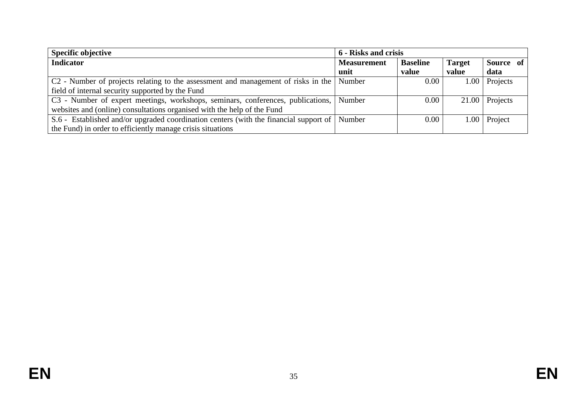| <b>Specific objective</b>                                                                            | <b>6</b> - Risks and crisis |                 |               |           |
|------------------------------------------------------------------------------------------------------|-----------------------------|-----------------|---------------|-----------|
| <b>Indicator</b>                                                                                     | <b>Measurement</b>          | <b>Baseline</b> | <b>Target</b> | Source of |
|                                                                                                      | unit                        | value           | value         | data      |
| C <sub>2</sub> - Number of projects relating to the assessment and management of risks in the Number |                             | $0.00\,$        | 0.00          | Projects  |
| field of internal security supported by the Fund                                                     |                             |                 |               |           |
| C3 - Number of expert meetings, workshops, seminars, conferences, publications,                      | Number                      | $0.00\,$        | 21.00         | Projects  |
| websites and (online) consultations organised with the help of the Fund                              |                             |                 |               |           |
| S.6 - Established and/or upgraded coordination centers (with the financial support of                | Number                      | $0.00\,$        | $1.00\,$      | Project   |
| the Fund) in order to efficiently manage crisis situations                                           |                             |                 |               |           |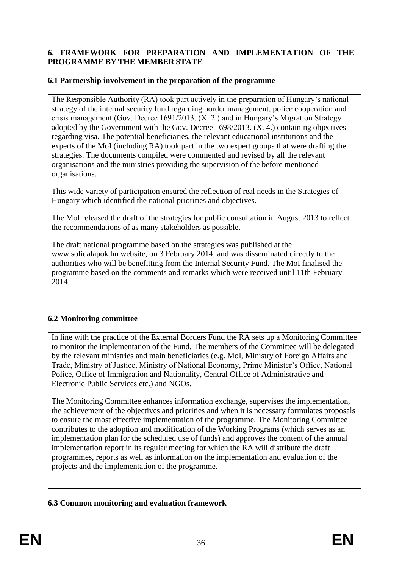# <span id="page-40-0"></span>**6. FRAMEWORK FOR PREPARATION AND IMPLEMENTATION OF THE PROGRAMME BY THE MEMBER STATE**

### <span id="page-40-1"></span>**6.1 Partnership involvement in the preparation of the programme**

The Responsible Authority (RA) took part actively in the preparation of Hungary's national strategy of the internal security fund regarding border management, police cooperation and crisis management (Gov. Decree 1691/2013. (X. 2.) and in Hungary's Migration Strategy adopted by the Government with the Gov. Decree 1698/2013. (X. 4.) containing objectives regarding visa. The potential beneficiaries, the relevant educational institutions and the experts of the MoI (including RA) took part in the two expert groups that were drafting the strategies. The documents compiled were commented and revised by all the relevant organisations and the ministries providing the supervision of the before mentioned organisations.

This wide variety of participation ensured the reflection of real needs in the Strategies of Hungary which identified the national priorities and objectives.

The MoI released the draft of the strategies for public consultation in August 2013 to reflect the recommendations of as many stakeholders as possible.

The draft national programme based on the strategies was published at the www.solidalapok.hu website, on 3 February 2014, and was disseminated directly to the authorities who will be benefitting from the Internal Security Fund. The MoI finalised the programme based on the comments and remarks which were received until 11th February 2014.

#### <span id="page-40-2"></span>**6.2 Monitoring committee**

In line with the practice of the External Borders Fund the RA sets up a Monitoring Committee to monitor the implementation of the Fund. The members of the Committee will be delegated by the relevant ministries and main beneficiaries (e.g. MoI, Ministry of Foreign Affairs and Trade, Ministry of Justice, Ministry of National Economy, Prime Minister's Office, National Police, Office of Immigration and Nationality, Central Office of Administrative and Electronic Public Services etc.) and NGOs.

The Monitoring Committee enhances information exchange, supervises the implementation, the achievement of the objectives and priorities and when it is necessary formulates proposals to ensure the most effective implementation of the programme. The Monitoring Committee contributes to the adoption and modification of the Working Programs (which serves as an implementation plan for the scheduled use of funds) and approves the content of the annual implementation report in its regular meeting for which the RA will distribute the draft programmes, reports as well as information on the implementation and evaluation of the projects and the implementation of the programme.

#### <span id="page-40-3"></span>**6.3 Common monitoring and evaluation framework**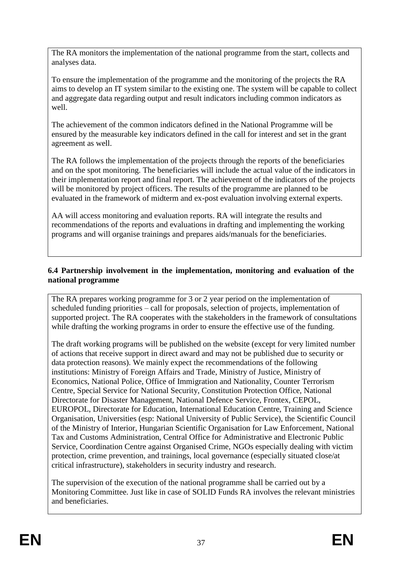The RA monitors the implementation of the national programme from the start, collects and analyses data.

To ensure the implementation of the programme and the monitoring of the projects the RA aims to develop an IT system similar to the existing one. The system will be capable to collect and aggregate data regarding output and result indicators including common indicators as well.

The achievement of the common indicators defined in the National Programme will be ensured by the measurable key indicators defined in the call for interest and set in the grant agreement as well.

The RA follows the implementation of the projects through the reports of the beneficiaries and on the spot monitoring. The beneficiaries will include the actual value of the indicators in their implementation report and final report. The achievement of the indicators of the projects will be monitored by project officers. The results of the programme are planned to be evaluated in the framework of midterm and ex-post evaluation involving external experts.

AA will access monitoring and evaluation reports. RA will integrate the results and recommendations of the reports and evaluations in drafting and implementing the working programs and will organise trainings and prepares aids/manuals for the beneficiaries.

# <span id="page-41-0"></span>**6.4 Partnership involvement in the implementation, monitoring and evaluation of the national programme**

The RA prepares working programme for 3 or 2 year period on the implementation of scheduled funding priorities – call for proposals, selection of projects, implementation of supported project. The RA cooperates with the stakeholders in the framework of consultations while drafting the working programs in order to ensure the effective use of the funding.

The draft working programs will be published on the website (except for very limited number of actions that receive support in direct award and may not be published due to security or data protection reasons). We mainly expect the recommendations of the following institutions: Ministry of Foreign Affairs and Trade, Ministry of Justice, Ministry of Economics, National Police, Office of Immigration and Nationality, Counter Terrorism Centre, Special Service for National Security, Constitution Protection Office, National Directorate for Disaster Management, National Defence Service, Frontex, CEPOL, EUROPOL, Directorate for Education, International Education Centre, Training and Science Organisation, Universities (esp: National University of Public Service), the Scientific Council of the Ministry of Interior, Hungarian Scientific Organisation for Law Enforcement, National Tax and Customs Administration, Central Office for Administrative and Electronic Public Service, Coordination Centre against Organised Crime, NGOs especially dealing with victim protection, crime prevention, and trainings, local governance (especially situated close/at critical infrastructure), stakeholders in security industry and research.

The supervision of the execution of the national programme shall be carried out by a Monitoring Committee. Just like in case of SOLID Funds RA involves the relevant ministries and beneficiaries.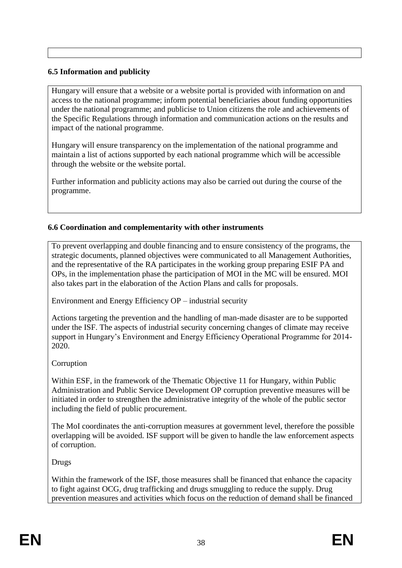# <span id="page-42-0"></span>**6.5 Information and publicity**

Hungary will ensure that a website or a website portal is provided with information on and access to the national programme; inform potential beneficiaries about funding opportunities under the national programme; and publicise to Union citizens the role and achievements of the Specific Regulations through information and communication actions on the results and impact of the national programme.

Hungary will ensure transparency on the implementation of the national programme and maintain a list of actions supported by each national programme which will be accessible through the website or the website portal.

Further information and publicity actions may also be carried out during the course of the programme.

# <span id="page-42-1"></span>**6.6 Coordination and complementarity with other instruments**

To prevent overlapping and double financing and to ensure consistency of the programs, the strategic documents, planned objectives were communicated to all Management Authorities, and the representative of the RA participates in the working group preparing ESIF PA and OPs, in the implementation phase the participation of MOI in the MC will be ensured. MOI also takes part in the elaboration of the Action Plans and calls for proposals.

Environment and Energy Efficiency OP – industrial security

Actions targeting the prevention and the handling of man-made disaster are to be supported under the ISF. The aspects of industrial security concerning changes of climate may receive support in Hungary's Environment and Energy Efficiency Operational Programme for 2014- 2020.

#### Corruption

Within ESF, in the framework of the Thematic Objective 11 for Hungary, within Public Administration and Public Service Development OP corruption preventive measures will be initiated in order to strengthen the administrative integrity of the whole of the public sector including the field of public procurement.

The MoI coordinates the anti-corruption measures at government level, therefore the possible overlapping will be avoided. ISF support will be given to handle the law enforcement aspects of corruption.

Drugs

Within the framework of the ISF, those measures shall be financed that enhance the capacity to fight against OCG, drug trafficking and drugs smuggling to reduce the supply. Drug prevention measures and activities which focus on the reduction of demand shall be financed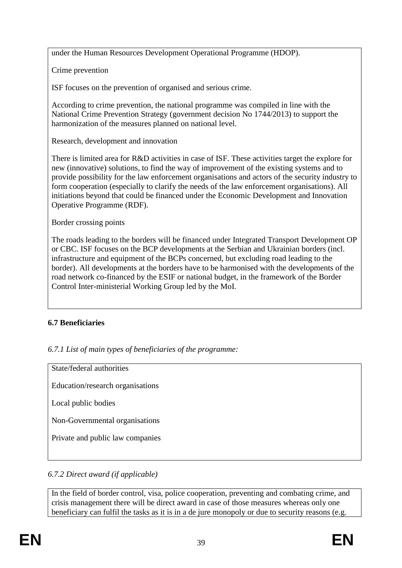under the Human Resources Development Operational Programme (HDOP).

Crime prevention

ISF focuses on the prevention of organised and serious crime.

According to crime prevention, the national programme was compiled in line with the National Crime Prevention Strategy (government decision No 1744/2013) to support the harmonization of the measures planned on national level.

Research, development and innovation

There is limited area for R&D activities in case of ISF. These activities target the explore for new (innovative) solutions, to find the way of improvement of the existing systems and to provide possibility for the law enforcement organisations and actors of the security industry to form cooperation (especially to clarify the needs of the law enforcement organisations). All initiations beyond that could be financed under the Economic Development and Innovation Operative Programme (RDF).

Border crossing points

The roads leading to the borders will be financed under Integrated Transport Development OP or CBC. ISF focuses on the BCP developments at the Serbian and Ukrainian borders (incl. infrastructure and equipment of the BCPs concerned, but excluding road leading to the border). All developments at the borders have to be harmonised with the developments of the road network co-financed by the ESIF or national budget, in the framework of the Border Control Inter-ministerial Working Group led by the MoI.

# <span id="page-43-0"></span>**6.7 Beneficiaries**

# <span id="page-43-1"></span>*6.7.1 List of main types of beneficiaries of the programme:*

State/federal authorities Education/research organisations Local public bodies Non-Governmental organisations Private and public law companies

# <span id="page-43-2"></span>*6.7.2 Direct award (if applicable)*

In the field of border control, visa, police cooperation, preventing and combating crime, and crisis management there will be direct award in case of those measures whereas only one beneficiary can fulfil the tasks as it is in a de jure monopoly or due to security reasons (e.g.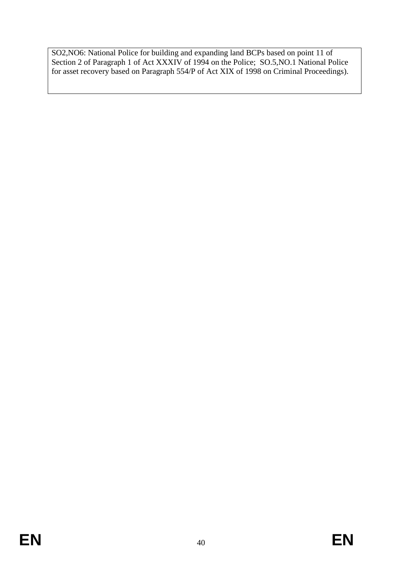SO2,NO6: National Police for building and expanding land BCPs based on point 11 of Section 2 of Paragraph 1 of Act XXXIV of 1994 on the Police; SO.5,NO.1 National Police for asset recovery based on Paragraph 554/P of Act XIX of 1998 on Criminal Proceedings).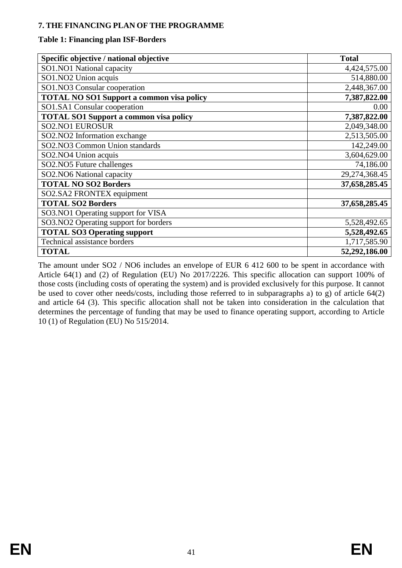#### <span id="page-45-0"></span>**7. THE FINANCING PLAN OF THE PROGRAMME**

# <span id="page-45-1"></span>**Table 1: Financing plan ISF-Borders**

| Specific objective / national objective          | <b>Total</b>  |
|--------------------------------------------------|---------------|
| SO1.NO1 National capacity                        | 4,424,575.00  |
| SO1.NO2 Union acquis                             | 514,880.00    |
| SO1.NO3 Consular cooperation                     | 2,448,367.00  |
| <b>TOTAL NO SO1 Support a common visa policy</b> | 7,387,822.00  |
| SO1.SA1 Consular cooperation                     | 0.00          |
| <b>TOTAL SO1 Support a common visa policy</b>    | 7,387,822.00  |
| <b>SO2.NO1 EUROSUR</b>                           | 2,049,348.00  |
| SO2.NO2 Information exchange                     | 2,513,505.00  |
| SO2.NO3 Common Union standards                   | 142,249.00    |
| SO2.NO4 Union acquis                             | 3,604,629.00  |
| SO2.NO5 Future challenges                        | 74,186.00     |
| SO2.NO6 National capacity                        | 29,274,368.45 |
| <b>TOTAL NO SO2 Borders</b>                      | 37,658,285.45 |
| SO2.SA2 FRONTEX equipment                        |               |
| <b>TOTAL SO2 Borders</b>                         | 37,658,285.45 |
| SO3.NO1 Operating support for VISA               |               |
| SO3.NO2 Operating support for borders            | 5,528,492.65  |
| <b>TOTAL SO3 Operating support</b>               | 5,528,492.65  |
| <b>Technical assistance borders</b>              | 1,717,585.90  |
| <b>TOTAL</b>                                     | 52,292,186.00 |

The amount under SO2 / NO6 includes an envelope of EUR 6 412 600 to be spent in accordance with Article 64(1) and (2) of Regulation (EU) No 2017/2226. This specific allocation can support 100% of those costs (including costs of operating the system) and is provided exclusively for this purpose. It cannot be used to cover other needs/costs, including those referred to in subparagraphs a) to g) of article 64(2) and article 64 (3). This specific allocation shall not be taken into consideration in the calculation that determines the percentage of funding that may be used to finance operating support, according to Article 10 (1) of Regulation (EU) No 515/2014.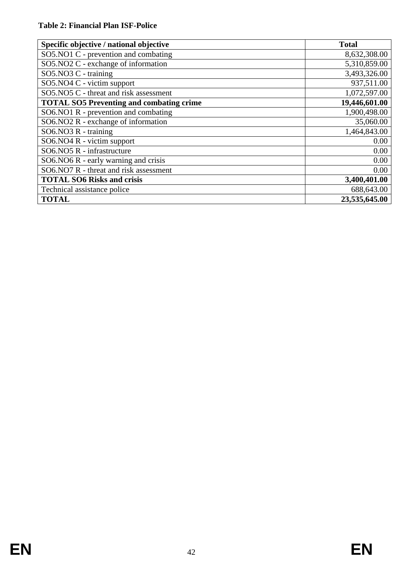<span id="page-46-0"></span>

| Specific objective / national objective         | <b>Total</b>  |
|-------------------------------------------------|---------------|
| SO5.NO1 C - prevention and combating            | 8,632,308.00  |
| SO5.NO2 C - exchange of information             | 5,310,859.00  |
| SO5.NO3 C - training                            | 3,493,326.00  |
| SO5.NO4 C - victim support                      | 937,511.00    |
| SO5.NO5 C - threat and risk assessment          | 1,072,597.00  |
| <b>TOTAL SO5 Preventing and combating crime</b> | 19,446,601.00 |
| SO6.NO1 R - prevention and combating            | 1,900,498.00  |
| SO6.NO2 R - exchange of information             | 35,060.00     |
| $SO6.NO3 R - training$                          | 1,464,843.00  |
| SO6.NO4 R - victim support                      | 0.00          |
| SO6.NO5 R - infrastructure                      | 0.00          |
| SO6.NO6 R - early warning and crisis            | 0.00          |
| SO6.NO7 R - threat and risk assessment          | 0.00          |
| <b>TOTAL SO6 Risks and crisis</b>               | 3,400,401.00  |
| Technical assistance police                     | 688,643.00    |
| <b>TOTAL</b>                                    | 23,535,645.00 |